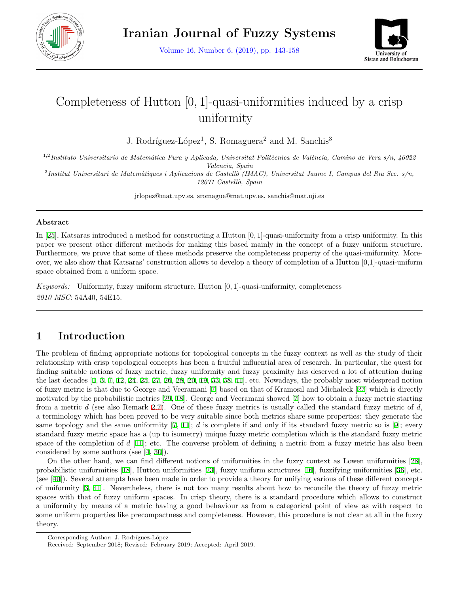

Volume 16, Number 6, (2019), pp. 143-158



# Completeness of Hutton [0*,* 1]-quasi-uniformities induced by a crisp uniformity

J. Rodríguez-López<sup>1</sup>, S. Romaguera<sup>2</sup> and M. Sanchis<sup>3</sup>

<sup>1,2</sup>*Instituto Universitario de Matemática Pura y Aplicada, Universitat Politècnica de València, Camino de Vera s/n, 46022 Valencia, Spain*

3 *Institut Universitari de Matem`atiques i Aplicacions de Castell`o (IMAC), Universitat Jaume I, Campus del Riu Sec. s/n, 12071 Castell`o, Spain*

jrlopez@mat.upv.es, sromague@mat.upv.es, sanchis@mat.uji.es

#### **Abstract**

In [\[25](#page-15-0)], Katsaras introduced a method for constructing a Hutton [0*,* 1]-quasi-uniformity from a crisp uniformity. In this paper we present other different methods for making this based mainly in the concept of a fuzzy uniform structure. Furthermore, we prove that some of these methods preserve the completeness property of the quasi-uniformity. Moreover, we also show that Katsaras' construction allows to develop a theory of completion of a Hutton [0,1]-quasi-uniform space obtained from a uniform space.

*Keywords:* Uniformity, fuzzy uniform structure, Hutton [0*,* 1]-quasi-uniformity, completeness *2010 MSC*: 54A40, 54E15.

# **1 Introduction**

The problem of finding appropriate notions for topological concepts in the fuzzy context as well as the study of their relationship with crisp topological concepts has been a fruitful influential area of research. In particular, the quest for finding suitable notions of fuzzy metric, fuzzy uniformity and fuzzy proximity has deserved a lot of attention during the last decades [[1,](#page-14-0) [3,](#page-14-1) [7,](#page-14-2) [12,](#page-14-3) [24](#page-15-1), [25](#page-15-0), [27](#page-15-2), [26,](#page-15-3) [28,](#page-15-4) [20,](#page-15-5) [19](#page-15-6), [33](#page-15-7), [38](#page-15-8), [41](#page-15-9)], etc. Nowadays, the probably most widespread notion of fuzzy metric is that due to George and Veeramani [[7](#page-14-2)] based on that of Kramosil and Michaleck [[27\]](#page-15-2) which is directly motivated by the probabilistic metrics [[29,](#page-15-10) [18](#page-15-11)]. George and Veeramani showed [\[7](#page-14-2)] how to obtain a fuzzy metric starting from a metric *d* (see also Remark [2.7\)](#page-2-0). One of these fuzzy metrics is usually called the standard fuzzy metric of *d*, a terminology which has been proved to be very suitable since both metrics share some properties: they generate the same topology and the same uniformity [[7,](#page-14-2) [11](#page-14-4)]; *d* is complete if and only if its standard fuzzy metric so is [[9](#page-14-5)]; every standard fuzzy metric space has a (up to isometry) unique fuzzy metric completion which is the standard fuzzy metric space of the completion of *d* [\[11](#page-14-4)]; etc. The converse problem of defining a metric from a fuzzy metric has also been considered by some authors (see [[4,](#page-14-6) [30\]](#page-15-12)).

On the other hand, we can find different notions of uniformities in the fuzzy context as Lowen uniformities [[28](#page-15-4)], probabilistic uniformities [\[18](#page-15-11)], Hutton uniformities [[23](#page-15-13)], fuzzy uniform structures [\[16](#page-15-14)], fuzzifying uniformities [\[36](#page-15-15)], etc. (see [[40\]](#page-15-16)). Several attempts have been made in order to provide a theory for unifying various of these different concepts of uniformity [[3,](#page-14-1) [41\]](#page-15-9). Nevertheless, there is not too many results about how to reconcile the theory of fuzzy metric spaces with that of fuzzy uniform spaces. In crisp theory, there is a standard procedure which allows to construct a uniformity by means of a metric having a good behaviour as from a categorical point of view as with respect to some uniform properties like precompactness and completeness. However, this procedure is not clear at all in the fuzzy theory.

Corresponding Author: J. Rodríguez-López

Received: September 2018; Revised: February 2019; Accepted: April 2019.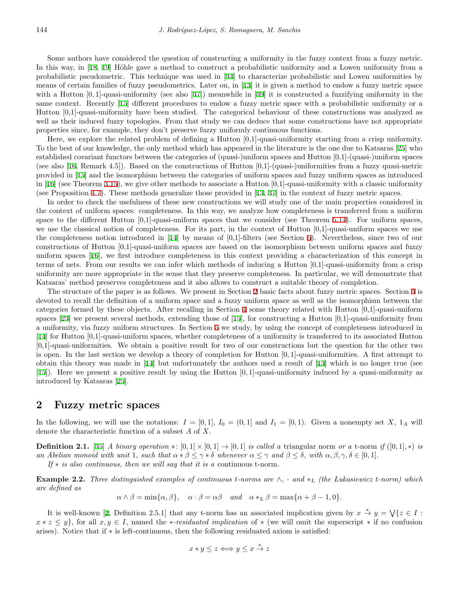Some authors have considered the question of constructing a uniformity in the fuzzy context from a fuzzy metric. In this way, in  $[18, 19]$  $[18, 19]$  $[18, 19]$  Höhle gave a method to construct a probabilistic uniformity and a Lowen uniformity from a probabilistic pseudometric. This technique was used in [\[34](#page-15-17)] to characterize probabilistic and Lowen uniformities by means of certain families of fuzzy pseudometrics. Later on, in [[13\]](#page-14-7) it is given a method to endow a fuzzy metric space with a Hutton  $[0, 1]$ -quasi-uniformity (see also [\[37](#page-15-18)]) meanwhile in [\[39](#page-15-19)] it is constructed a fuzzifying uniformity in the same context. Recently [[15\]](#page-15-20) different procedures to endow a fuzzy metric space with a probabilistic uniformity or a Hutton [0,1]-quasi-uniformity have been studied. The categorical behaviour of these constructions was analyzed as well as their induced fuzzy topologies. From that study we can deduce that some constructions have not appropriate properties since, for example, they don't preserve fuzzy uniformly continuous functions.

Here, we explore the related problem of defining a Hutton [0,1]-quasi-uniformity starting from a crisp uniformity. To the best of our knowledge, the only method which has appeared in the literature is the one due to Katsaras [\[25](#page-15-0)] who established covariant functors between the categories of (quasi-)uniform spaces and Hutton [0,1]-(quasi-)uniform spaces (see also [\[16](#page-15-14), Remark 4.5]). Based on the constructions of Hutton  $[0,1]$ -(quasi-)uniformities from a fuzzy quasi-metric provided in [\[15](#page-15-20)] and the isomorphism between the categories of uniform spaces and fuzzy uniform spaces as introduced in [\[16](#page-15-14)] (see Theorem [3.15\)](#page-4-0), we give other methods to associate a Hutton  $[0,1]$ -quasi-uniformity with a classic uniformity (see Proposition [4.7\)](#page-7-0). These methods generalize those provided in [[13,](#page-14-7) [37](#page-15-18)] in the context of fuzzy metric spaces.

In order to check the usefulness of these new constructions we will study one of the main properties considered in the context of uniform spaces: completeness. In this way, we analyze how completeness is transferred from a uniform space to the different Hutton  $[0,1]$ -quasi-uniform spaces that we consider (see Theorem [5.14\)](#page-11-0). For uniform spaces, we use the classical notion of completeness. For its part, in the context of Hutton [0,1]-quasi-uniform spaces we use the completeness notion introduced in [\[14](#page-15-21)] by means of [0,1]-filters (see Section [5](#page-9-0)). Nevertheless, since two of our constructions of Hutton [0,1]-quasi-uniform spaces are based on the isomorphism between uniform spaces and fuzzy uniform spaces [\[16](#page-15-14)], we first introduce completeness in this context providing a characterization of this concept in terms of nets. From our results we can infer which methods of inducing a Hutton [0,1]-quasi-uniformity from a crisp uniformity are more appropriate in the sense that they preserve completeness. In particular, we will demonstrate that Katsaras' method preserves completeness and it also allows to construct a suitable theory of completion.

The structure of the paper is as follows. We present in Section [2](#page-1-0) basic facts about fuzzy metric spaces. Section [3](#page-2-1) is devoted to recall the definition of a uniform space and a fuzzy uniform space as well as the isomorphism between the categories formed by these objects. After recalling in Section [4](#page-6-0) some theory related with Hutton [0,1]-quasi-uniform spaces [[23\]](#page-15-13) we present several methods, extending those of [\[15](#page-15-20)], for constructing a Hutton [0,1]-quasi-uniformity from a uniformity, via fuzzy uniform structures. In Section [5](#page-9-0) we study, by using the concept of completeness introduced in [[14\]](#page-15-21) for Hutton [0,1]-quasi-uniform spaces, whether completeness of a uniformity is transferred to its associated Hutton [0,1]-quasi-uniformities. We obtain a positive result for two of our constructions but the question for the other two is open. In the last section we develop a theory of completion for Hutton [0*,* 1]-quasi-uniformities. A first attempt to obtain this theory was made in [\[14](#page-15-21)] but unfortunately the authors used a result of [[13\]](#page-14-7) which is no longer true (see [[15\]](#page-15-20)). Here we present a positive result by using the Hutton [0*,* 1]-quasi-uniformity induced by a quasi-uniformity as introduced by Katsaras [\[25](#page-15-0)].

### <span id="page-1-0"></span>**2 Fuzzy metric spaces**

In the following, we will use the notations:  $I = [0,1], I_0 = (0,1]$  and  $I_1 = [0,1]$ . Given a nonempty set X,  $1_A$  will denote the characteristic function of a subset *A* of *X*.

**Definition 2.1.** [\[35](#page-15-22)] A binary operation  $\ast : [0,1] \times [0,1] \rightarrow [0,1]$  is called a triangular norm or a t-norm if  $([0,1],\ast)$  is an Abelian monoid with unit 1, such that  $\alpha * \beta \leq \gamma * \delta$  whenever  $\alpha \leq \gamma$  and  $\beta \leq \delta$ , with  $\alpha, \beta, \gamma, \delta \in [0,1]$ .

*If ∗ is also continuous, then we will say that it is a* continuous t-norm*.*

**Example 2.2.** *Three distinguished examples of continuous <i>t*-norms are  $\wedge$ ,  $\cdot$  and  $\ast$ <sub>L</sub> (the Lukasiewicz *t*-norm) which *are defined as*

 $\alpha \wedge \beta = \min\{\alpha, \beta\}, \quad \alpha \cdot \beta = \alpha\beta \quad and \quad \alpha *_{L}\beta = \max\{\alpha + \beta - 1, 0\}.$ 

It is well-known [\[2](#page-14-8), Definition 2.5.1] that any t-norm has an associated implication given by  $x \stackrel{*}{\rightarrow} y = \sqrt{\{z \in I : Z\}}$  $x * z \leq y$ , for all  $x, y \in I$ , named the *\*-residuated implication* of  $*$  (we will omit the superscript  $*$  if no confusion arises). Notice that if *∗* is left-continuous, then the following residuated axiom is satisfied:

$$
x * y \leq z \Longleftrightarrow y \leq x \stackrel{*}{\rightarrow} z
$$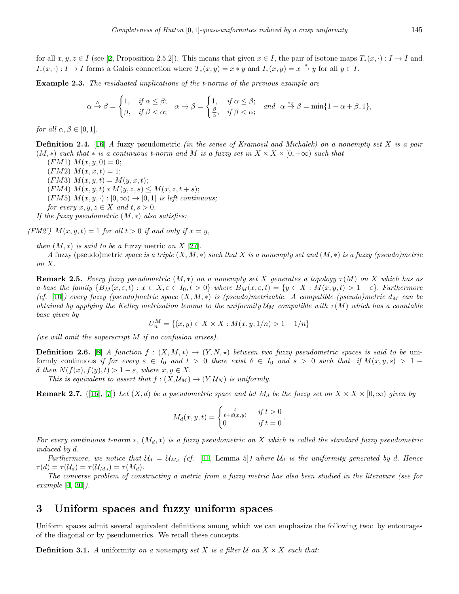for all  $x, y, z \in I$  (see [[2,](#page-14-8) Proposition 2.5.2]). This means that given  $x \in I$ , the pair of isotone maps  $T_*(x, \cdot) : I \to I$  and  $I_*(x, \cdot): I \to I$  forms a Galois connection where  $T_*(x, y) = x * y$  and  $I_*(x, y) = x \stackrel{*}{\to} y$  for all  $y \in I$ .

**Example 2.3.** *The residuated implications of the t-norms of the previous example are*

$$
\alpha \stackrel{\wedge}{\to} \beta = \begin{cases} 1, & \text{if } \alpha \leq \beta; \\ \beta, & \text{if } \beta < \alpha; \end{cases} \quad \alpha \stackrel{\cdot}{\to} \beta = \begin{cases} 1, & \text{if } \alpha \leq \beta; \\ \frac{\beta}{\alpha}, & \text{if } \beta < \alpha; \end{cases} \quad \text{and} \quad \alpha \stackrel{*L}{\to} \beta = \min\{1 - \alpha + \beta, 1\},
$$

*for all*  $\alpha, \beta \in [0, 1]$ *.* 

**Definition 2.4.** [\[16](#page-15-14)] *A* fuzzy pseudometric *(in the sense of Kramosil and Michalek) on a nonempty set X is a pair*  $(M, *)$  *such that*  $*$  *is a continuous t-norm and M is a fuzzy set in*  $X \times X \times [0, +\infty)$  *such that* 

 $(FM1) M(x, y, 0) = 0;$  $(FM2)$   $M(x, x, t) = 1;$  $(FM3) M(x, y, t) = M(y, x, t);$  $(FM4) M(x, y, t) * M(y, z, s) \leq M(x, z, t + s);$  $(FM5)$   $M(x, y, \cdot) : [0, \infty) \to [0, 1]$  *is left continuous; for every*  $x, y, z \in X$  *and*  $t, s > 0$ . *If the fuzzy pseudometric* (*M, ∗*) *also satisfies:*

*(FM2')*  $M(x, y, t) = 1$  *for all*  $t > 0$  *if and only if*  $x = y$ *,* 

*then*  $(M, *)$  *is said to be a fuzzy metric on*  $X$  [\[27](#page-15-2)]*.* 

*A* fuzzy (pseudo)metric *space is a triple* (*X, M, ∗*) *such that X is a nonempty set and* (*M, ∗*) *is a fuzzy (pseudo)metric on X.*

**Remark 2.5.** *Every fuzzy pseudometric*  $(M, *)$  *on a nonempty set X generates a topology*  $\tau(M)$  *on X which has as* a base the family  $\{B_M(x,\varepsilon,t): x \in X, \varepsilon \in I_0,t > 0\}$  where  $B_M(x,\varepsilon,t) = \{y \in X: M(x,y,t) > 1-\varepsilon\}$ . Furthermore *(cf.* [[10\]](#page-14-9)*) every fuzzy (pseudo)metric space* (*X, M, ∗*) *is (pseudo)metrizable. A compatible (pseudo)metric d<sup>M</sup> can be obtained by applying the Kelley metrization lemma to the uniformity*  $U_M$  compatible with  $\tau(M)$  which has a countable *base given by*

$$
U_n^M = \{(x, y) \in X \times X : M(x, y, 1/n) > 1 - 1/n\}
$$

*(we will omit the superscript M if no confusion arises).*

**Definition 2.6.** [\[8](#page-14-10)] *A function*  $f : (X, M, *) \rightarrow (Y, N, *)$  *between two fuzzy pseudometric spaces is said to be* uniformly continuous if for every  $\varepsilon \in I_0$  and  $t > 0$  there exist  $\delta \in I_0$  and  $s > 0$  such that if  $M(x, y, s) > 1$  $\delta$  *then*  $N(f(x), f(y), t) > 1 - \varepsilon$ *, where*  $x, y \in X$ .

*This is equivalent to assert that*  $f : (X, \mathcal{U}_M) \to (Y, \mathcal{U}_N)$  *is uniformly.* 

<span id="page-2-0"></span>**Remark 2.7.** ([\[16](#page-15-14)], [[7\]](#page-14-2)) Let  $(X, d)$  be a pseudometric space and let  $M_d$  be the fuzzy set on  $X \times X \times [0, \infty)$  given by

$$
M_d(x, y, t) = \begin{cases} \frac{t}{t + d(x, y)} & \text{if } t > 0 \\ 0 & \text{if } t = 0 \end{cases}.
$$

*For every continuous t-norm ∗,* (*Md, ∗*) *is a fuzzy pseudometric on X which is called the standard fuzzy pseudometric induced by d.*

*Furthermore, we notice that*  $U_d = U_{M_d}$  (cf. [[11,](#page-14-4) Lemma 5]) where  $U_d$  is the uniformity generated by d. Hence  $\tau(d) = \tau(\mathcal{U}_d) = \tau(\mathcal{U}_{M_d}) = \tau(M_d).$ 

*The converse problem of constructing a metric from a fuzzy metric has also been studied in the literature (see for example* [\[4](#page-14-6), [30](#page-15-12)]*).*

### <span id="page-2-1"></span>**3 Uniform spaces and fuzzy uniform spaces**

Uniform spaces admit several equivalent definitions among which we can emphasize the following two: by entourages of the diagonal or by pseudometrics. We recall these concepts.

**Definition 3.1.** A uniformity on a nonempty set X is a filter  $U$  on  $X \times X$  such that: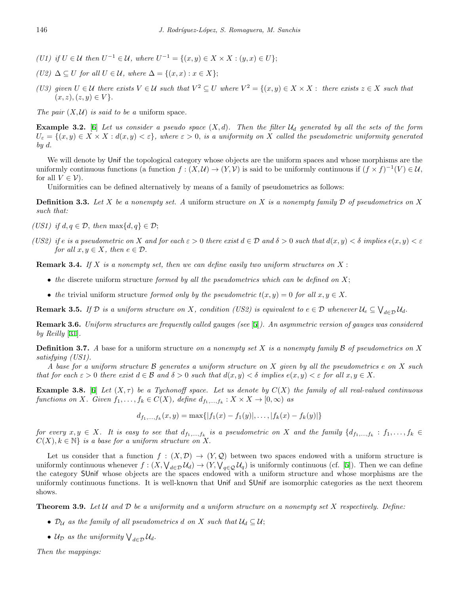- *(U1) if*  $U \in \mathcal{U}$  *then*  $U^{-1} \in \mathcal{U}$ *, where*  $U^{-1} = \{(x, y) \in X \times X : (y, x) \in U\}$ ;
- *(U2)*  $\Delta \subseteq U$  *for all*  $U \in \mathcal{U}$ *, where*  $\Delta = \{(x, x) : x \in X\}$ ;
- (U3) given  $U \in \mathcal{U}$  there exists  $V \in \mathcal{U}$  such that  $V^2 \subseteq U$  where  $V^2 = \{(x, y) \in X \times X :$  there exists  $z \in X$  such that  $(x, z), (z, y) \in V$ .

*The pair*  $(X, \mathcal{U})$  *is said to be a* uniform space.

**Example 3.2.** [\[6](#page-14-11)] *Let us consider a pseudo space* (*X, d*)*. Then the filter U<sup>d</sup> generated by all the sets of the form*  $U_{\varepsilon} = \{(x, y) \in X \times X : d(x, y) < \varepsilon\}$ , where  $\varepsilon > 0$ , is a uniformity on X called the pseudometric uniformity generated *by d.*

We will denote by Unif the topological category whose objects are the uniform spaces and whose morphisms are the uniformly continuous functions (a function  $f : (X, \mathcal{U}) \to (Y, \mathcal{V})$  is said to be uniformly continuous if  $(f \times f)^{-1}(V) \in \mathcal{U}$ , for all  $V \in \mathcal{V}$ ).

Uniformities can be defined alternatively by means of a family of pseudometrics as follows:

**Definition 3.3.** *Let X be a nonempty set. A* uniform structure *on X is a nonempty family D of pseudometrics on X such that:*

- *(US1) if d,*  $q \in \mathcal{D}$ *, then* max{*d, q*}  $\in \mathcal{D}$ ;
- (US2) if e is a pseudometric on X and for each  $\varepsilon > 0$  there exist  $d \in \mathcal{D}$  and  $\delta > 0$  such that  $d(x, y) < \delta$  implies  $e(x, y) < \varepsilon$ *for all*  $x, y \in X$ *, then*  $e \in \mathcal{D}$ *.*

**Remark 3.4.** *If X is a nonempty set, then we can define easily two uniform structures on X* :

- *• the* discrete uniform structure *formed by all the pseudometrics which can be defined on X*;
- *the* trivial uniform structure *formed only by the pseudometric*  $t(x, y) = 0$  *for all*  $x, y \in X$ .

**Remark 3.5.** If  $D$  is a uniform structure on X, condition (US2) is equivalent to  $e \in D$  whenever  $\mathcal{U}_e \subseteq \bigvee_{d \in D} \mathcal{U}_d$ .

**Remark 3.6.** *Uniform structures are frequently called* gauges *(see* [\[5](#page-14-12)]*). An asymmetric version of gauges was considered by Reilly* [\[31](#page-15-23)]*.*

**Definition 3.7.** *A* base for a uniform structure *on a nonempty set X is a nonempty family B of pseudometrics on X satisfying (US1).*

*A base for a uniform structure B generates a uniform structure on X given by all the pseudometrics e on X such* that for each  $\varepsilon > 0$  there exist  $d \in \mathcal{B}$  and  $\delta > 0$  such that  $d(x, y) < \delta$  implies  $e(x, y) < \varepsilon$  for all  $x, y \in X$ .

**Example 3.8.** [\[6](#page-14-11)] Let  $(X, \tau)$  be a Tychonoff space. Let us denote by  $C(X)$  the family of all real-valued continuous functions on X. Given  $f_1, \ldots, f_k \in C(X)$ , define  $d_{f_1, \ldots, f_k}: X \times X \to [0, \infty)$  as

$$
d_{f_1,\ldots,f_k}(x,y)=\max\{|f_1(x)-f_1(y)|,\ldots,|f_k(x)-f_k(y)|\}
$$

for every  $x, y \in X$ . It is easy to see that  $d_{f_1,...,f_k}$  is a pseudometric on X and the family  $\{d_{f_1,...,f_k}: f_1,...,f_k \in$  $C(X), k \in \mathbb{N}$  *is a base for a uniform structure on* X.

Let us consider that a function  $f : (X, \mathcal{D}) \to (Y, \mathcal{Q})$  between two spaces endowed with a uniform structure is uniformly continuous whenever  $f: (X, \bigvee_{d \in \mathcal{D}} \mathcal{U}_d) \to (Y, \bigvee_{q \in \mathcal{Q}} \mathcal{U}_q)$  is uniformly continuous (cf. [\[5](#page-14-12)]). Then we can define the category SUnif whose objects are the spaces endowed with a uniform structure and whose morphisms are the uniformly continuous functions. It is well-known that Unif and SUnif are isomorphic categories as the next theorem shows.

**Theorem 3.9.** *Let U and D be a uniformity and a uniform structure on a nonempty set X respectively. Define:*

- $\mathcal{D}_{\mathcal{U}}$  *as the family of all pseudometrics d on X such that*  $\mathcal{U}_d \subseteq \mathcal{U}$ ;
- $U_D$  *as the uniformity*  $\bigvee_{d \in \mathcal{D}} U_d$ *.*

*Then the mappings:*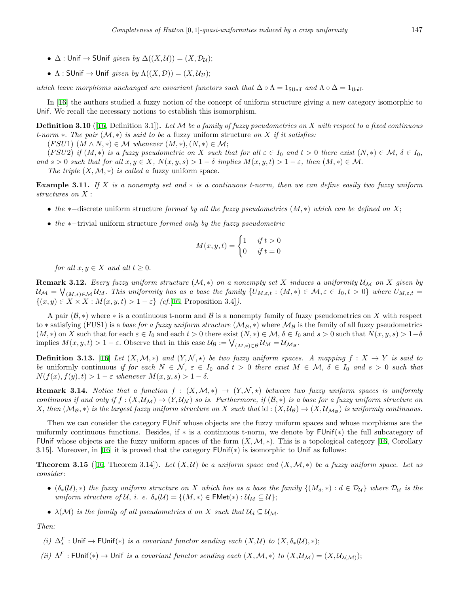- $\bullet$   $\Delta$  : Unif  $\rightarrow$  SUnif *given by*  $\Delta((X, \mathcal{U})) = (X, \mathcal{D}_{\mathcal{U}})$ ;
- $\Lambda$ : SUnif  $\rightarrow$  Unif *given by*  $\Lambda((X, \mathcal{D})) = (X, \mathcal{U}_{\mathcal{D}});$

*which leave morphisms unchanged are covariant functors such that*  $\Delta \circ \Lambda = 1$ <sub>SUnif</sub> *and*  $\Lambda \circ \Delta = 1$ <sub>Unif</sub>.

In [\[16](#page-15-14)] the authors studied a fuzzy notion of the concept of uniform structure giving a new category isomorphic to Unif*.* We recall the necessary notions to establish this isomorphism.

**Definition 3.10** ([\[16](#page-15-14), Definition 3.1])**.** *Let M be a family of fuzzy pseudometrics on X with respect to a fixed continuous t-norm ∗. The pair* (*M, ∗*) *is said to be a* fuzzy uniform structure *on X if it satisfies:*

 $(FSU1)$   $(M \wedge N, *) \in M$  whenever  $(M, *), (N, *) \in M;$ 

(FSU2) if  $(M,*)$  is a fuzzy pseudometric on X such that for all  $\varepsilon \in I_0$  and  $t > 0$  there exist  $(N,*) \in \mathcal{M}, \delta \in I_0$ , and  $s > 0$  such that for all  $x, y \in X$ ,  $N(x, y, s) > 1 - \delta$  implies  $M(x, y, t) > 1 - \varepsilon$ , then  $(M, *) \in M$ . *The triple*  $(X, \mathcal{M}, *)$  *is called a fuzzy uniform space.* 

**Example 3.11.** *If X is a nonempty set and ∗ is a continuous t-norm, then we can define easily two fuzzy uniform structures on X* :

- *• the ∗−*discrete uniform structure *formed by all the fuzzy pseudometrics* (*M, ∗*) *which can be defined on X*;
- *• the ∗−*trivial uniform structure *formed only by the fuzzy pseudometric*

$$
M(x, y, t) = \begin{cases} 1 & \text{if } t > 0 \\ 0 & \text{if } t = 0 \end{cases}
$$

*for all*  $x, y \in X$  *and all*  $t \geq 0$ *.* 

**Remark 3.12.** Every fuzzy uniform structure  $(M,*)$  on a nonempty set X induces a uniformity  $\mathcal{U}_M$  on X given by  $\mathcal{U}_{\mathcal{M}} = \bigvee_{(M,\ast) \in \mathcal{M}} \mathcal{U}_{M}$ . This uniformity has as a base the family  $\{U_{M,\varepsilon,t} : (M,\ast) \in \mathcal{M}, \varepsilon \in I_0, t > 0\}$  where  $U_{M,\varepsilon,t} =$  $\{(x, y) \in X \times X : M(x, y, t) > 1 - \varepsilon\}$  *(cf.*[\[16](#page-15-14), Proposition 3.4]*)*.

A pair  $(\mathcal{B}, *)$  where  $*$  is a continuous t-norm and  $\mathcal{B}$  is a nonempty family of fuzzy pseudometrics on X with respect to *∗* satisfying (FUS1) is a *base for a fuzzy uniform structure* (*MB, ∗*) where *M<sup>B</sup>* is the family of all fuzzy pseudometrics  $(M,*)$  on X such that for each  $\varepsilon \in I_0$  and each  $t > 0$  there exist  $(N,*) \in \mathcal{M}, \delta \in I_0$  and  $s > 0$  such that  $N(x,y,s) > 1-\delta$ implies  $M(x, y, t) > 1 - \varepsilon$ . Observe that in this case  $\mathcal{U}_{\mathcal{B}} := \bigvee_{(M, \ast) \in \mathcal{B}} \mathcal{U}_M = \mathcal{U}_{\mathcal{M}_{\mathcal{B}}}$ .

**Definition 3.13.** [[16\]](#page-15-14) *Let*  $(X, \mathcal{M}, *)$  *and*  $(Y, \mathcal{N}, *)$  *be two fuzzy uniform spaces. A mapping*  $f : X \to Y$  *is said to* be uniformly continuous if for each  $N \in \mathcal{N}$ ,  $\varepsilon \in I_0$  and  $t > 0$  there exist  $M \in \mathcal{M}$ ,  $\delta \in I_0$  and  $s > 0$  such that  $N(f(x), f(y), t) > 1 - \varepsilon$  *whenever*  $M(x, y, s) > 1 - \delta$ .

**Remark 3.14.** *Notice that a function*  $f : (X, \mathcal{M}, *) \rightarrow (Y, \mathcal{N}, *)$  *between two fuzzy uniform spaces is uniformly continuous if and only if*  $f : (X, \mathcal{U}_M) \to (Y, \mathcal{U}_N)$  so is. Furthermore, if  $(\mathcal{B}, *)$  is a base for a fuzzy uniform structure on X, then  $(M_{\mathcal{B}},*)$  is the largest fuzzy uniform structure on X such that  $id:(X,\mathcal{U}_{\mathcal{B}})\to(X,\mathcal{U}_{\mathcal{M}_{\mathcal{B}}})$  is uniformly continuous.

Then we can consider the category FUnif whose objects are the fuzzy uniform spaces and whose morphisms are the uniformly continuous functions. Besides, if *∗* is a continuous t-norm, we denote by FUnif(*∗*) the full subcategory of FUnif whose objects are the fuzzy uniform spaces of the form  $(X, \mathcal{M}, *)$ . This is a topological category [[16,](#page-15-14) Corollary 3.15]. Moreover, in [[16\]](#page-15-14) it is proved that the category FUnif(*∗*) is isomorphic to Unif as follows:

<span id="page-4-0"></span>**Theorem 3.15** ([[16](#page-15-14), Theorem 3.14]). Let  $(X, \mathcal{U})$  be a uniform space and  $(X, \mathcal{M}, *)$  be a fuzzy uniform space. Let us *consider:*

- $(\delta_*(\mathcal{U}), *)$  the fuzzy uniform structure on X which has as a base the family  $\{(M_d, *) : d \in \mathcal{D}_\mathcal{U}\}\)$  where  $\mathcal{D}_\mathcal{U}$  is the *uniform structure of*  $U$ *, i. e.*  $\delta_*(U) = \{(M, *) \in \text{FMet}(*) : U_M \subseteq U\};$
- $\lambda(\mathcal{M})$  *is the family of all pseudometrics d on X such that*  $\mathcal{U}_d \subseteq \mathcal{U}_\mathcal{M}$ *.*

*Then:*

- *(i)*  $\Delta^F_*$  : Unif → FUnif(\*) *is a covariant functor sending each*  $(X, \mathcal{U})$  *to*  $(X, \delta_*(\mathcal{U}), *)$ ;
- *(ii)*  $\Lambda^F$ : FUnif(\*)  $\to$  Unif *is a covariant functor sending each*  $(X, M, *)$  *to*  $(X, \mathcal{U}_M) = (X, \mathcal{U}_{\lambda(M)})$ ;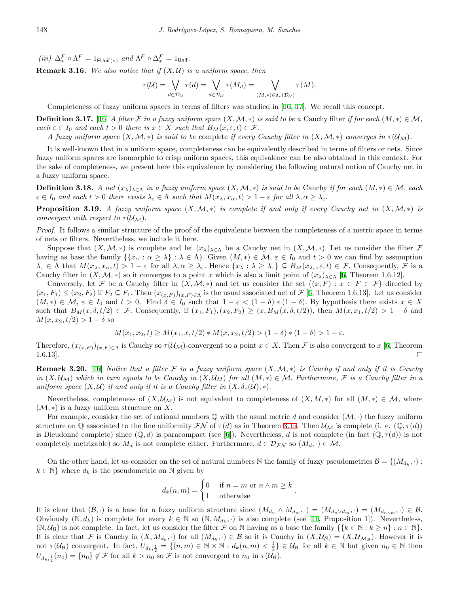$(iii)$   $\Delta_*^F \circ \Lambda^F = 1_{\text{FUnif(*)}}$  *and*  $\Lambda^F \circ \Delta_*^F = 1_{\text{Unif}}.$ 

<span id="page-5-0"></span>**Remark 3.16.** We also notice that if  $(X, U)$  is a uniform space, then

$$
\tau(\mathcal{U}) = \bigvee_{d \in \mathcal{D}_{\mathcal{U}}} \tau(d) = \bigvee_{d \in \mathcal{D}_{\mathcal{U}}} \tau(M_d) = \bigvee_{(M, *) \in \delta_*(\mathcal{D}_{\mathcal{U}})} \tau(M).
$$

Completeness of fuzzy uniform spaces in terms of filters was studied in [[16](#page-15-14), [17](#page-15-24)]. We recall this concept.

**Definition 3.17.** [[16](#page-15-14)] *A filter*  $F$  *in a fuzzy uniform space*  $(X, \mathcal{M}, *)$  *is said to be a* Cauchy filter *if for each*  $(M, *) \in \mathcal{M}$ *, each*  $\varepsilon \in I_0$  *and each*  $t > 0$  *there is*  $x \in X$  *such that*  $B_M(x, \varepsilon, t) \in \mathcal{F}$ .

*A* fuzzy uniform space  $(X, \mathcal{M}, *)$  is said to be complete if every Cauchy filter in  $(X, \mathcal{M}, *)$  converges in  $\tau(\mathcal{U}_{\mathcal{M}})$ .

It is well-known that in a uniform space, completeness can be equivalently described in terms of filters or nets. Since fuzzy uniform spaces are isomorphic to crisp uniform spaces, this equivalence can be also obtained in this context. For the sake of completeness, we present here this equivalence by considering the following natural notion of Cauchy net in a fuzzy uniform space.

**Definition 3.18.** A net  $(x_{\lambda})_{\lambda\in\Lambda}$  in a fuzzy uniform space  $(X, \mathcal{M}, *)$  is said to be Cauchy if for each  $(M, *) \in \mathcal{M}$ , each  $\varepsilon \in I_0$  and each  $t > 0$  there exists  $\lambda_{\varepsilon} \in \Lambda$  such that  $M(x_{\lambda}, x_{\alpha}, t) > 1 - \varepsilon$  for all  $\lambda, \alpha \geq \lambda_{\varepsilon}$ .

**Proposition 3.19.** *A fuzzy uniform space*  $(X, \mathcal{M}, *)$  *is complete if and only if every Cauchy net in*  $(X, \mathcal{M}, *)$  *is convergent with respect to*  $\tau(\mathcal{U}_{\mathcal{M}})$ *.* 

*Proof.* It follows a similar structure of the proof of the equivalence between the completeness of a metric space in terms of nets or filters. Nevertheless, we include it here.

Suppose that  $(X, \mathcal{M}, *)$  is complete and let  $(x_\lambda)_{\lambda \in \Lambda}$  be a Cauchy net in  $(X, \mathcal{M}, *)$ . Let us consider the filter *F* having as base the family  $\{\{x_\alpha : \alpha \geq \lambda\} : \lambda \in \Lambda\}$ . Given  $(M,*) \in \mathcal{M}, \varepsilon \in I_0$  and  $t > 0$  we can find by assumption  $\lambda_{\varepsilon} \in \Lambda$  that  $M(x_{\lambda}, x_{\alpha}, t) > 1 - \varepsilon$  for all  $\lambda, \alpha \geq \lambda_{\varepsilon}$ . Hence  $\{x_{\lambda} : \lambda \geq \lambda_{\varepsilon}\} \subseteq B_M(x_{\lambda_{\varepsilon}}, \varepsilon, t) \in \mathcal{F}$ . Consequently,  $\mathcal{F}$  is a Cauchy filter in  $(X, \mathcal{M}, *)$  so it converges to a point *x* which is also a limit point of  $(x_{\lambda})_{\lambda \in \Lambda}$  [[6,](#page-14-11) Theorem 1.6.12].

Conversely, let *F* be a Cauchy filter in  $(X, \mathcal{M}, *)$  and let us consider the set  $\{(x, F) : x \in F \in \mathcal{F}\}\$  directed by  $(x_1, F_1) \leq (x_2, F_2)$  if  $F_2 \subseteq F_1$ . Then  $(x_{(x,F)})_{(x,F) \in \Lambda}$  is the usual associated net of  $\mathcal{F}$  [\[6](#page-14-11), Theorem 1.6.13]. Let us consider  $(M,*)\in\mathcal{M},\,\varepsilon\in I_0$  and  $t>0$ . Find  $\delta\in I_0$  such that  $1-\varepsilon<(1-\delta)*(1-\delta)$ . By hypothesis there exists  $x\in X$ such that  $B_M(x,\delta,t/2) \in \mathcal{F}$ . Consequently, if  $(x_1,F_1),(x_2,F_2) \geq (x,B_M(x,\delta,t/2))$ , then  $M(x,x_1,t/2) > 1-\delta$  and  $M(x, x_2, t/2) > 1 - \delta$  so

$$
M(x_1, x_2, t) \ge M(x_1, x, t/2) * M(x, x_2, t/2) > (1 - \delta) * (1 - \delta) > 1 - \varepsilon.
$$

Therefore,  $(x_{(x,F)})_{(x,F) \in \Lambda}$  is Cauchy so  $\tau(\mathcal{U}_{\mathcal{M}})$ -convergent to a point  $x \in X$ . Then *F* is also convergent to *x* [\[6](#page-14-11), Theorem 1.6.13].  $\Box$ 

<span id="page-5-1"></span>**Remark 3.20.** [\[16](#page-15-14)] *Notice that a filter*  $F$  *in a fuzzy uniform space*  $(X, \mathcal{M}, *)$  *is Cauchy if and only if it is Cauchy* in  $(X,\mathcal{U}_\mathcal{M})$  which in turn equals to be Cauchy in  $(X,\mathcal{U}_M)$  for all  $(M,*)\in\mathcal{M}$ . Furthermore, F is a Cauchy filter in a *uniform space*  $(X, U)$  *if and only if it is a Cauchy filter in*  $(X, \delta_*(U), *)$ .

Nevertheless, completeness of  $(X, \mathcal{U}_M)$  is not equivalent to completeness of  $(X, M, *)$  for all  $(M, *) \in \mathcal{M}$ , where  $(\mathcal{M}, *)$  is a fuzzy uniform structure on X.

For example, consider the set of rational numbers  $\mathbb Q$  with the usual metric *d* and consider  $(\mathcal M, \cdot)$  the fuzzy uniform structure on Q associated to the fine uniformity  $\mathcal{FN}$  of  $\tau(d)$  as in Theorem [3.15](#page-4-0). Then  $\mathcal{U}_{\mathcal{M}}$  is complete (i. e.  $(\mathbb{Q}, \tau(d))$ is Dieudonné complete) since  $(\mathbb{Q}, d)$  is paracompact (see [\[6](#page-14-11)]). Nevertheless, *d* is not complete (in fact  $(\mathbb{Q}, \tau(d))$  is not completely metrizable) so  $M_d$  is not complete either. Furthermore,  $d \in \mathcal{D}_{\mathcal{F}N}$  so  $(M_d, \cdot) \in \mathcal{M}$ .

On the other hand, let us consider on the set of natural numbers N the family of fuzzy pseudometrics  $\mathcal{B} = \{(M_{d_k}, \cdot) :$  $k \in \mathbb{N}$ } where  $d_k$  is the pseudometric on N given by

$$
d_k(n,m) = \begin{cases} 0 & \text{if } n = m \text{ or } n \wedge m \ge k \\ 1 & \text{otherwise} \end{cases}
$$

*.*

It is clear that  $(\mathcal{B}, \cdot)$  is a base for a fuzzy uniform structure since  $(M_{d_n} \wedge M_{d_m}, \cdot) = (M_{d_n \vee d_m}, \cdot) = (M_{d_{n \wedge m}}, \cdot) \in \mathcal{B}$ . Obviously  $(\mathbb{N}, d_k)$  is complete for every  $k \in \mathbb{N}$  so  $(\mathbb{N}, M_{d_k}, \cdot)$  is also complete (see [\[11](#page-14-4), Proposition 1]). Nevertheless,  $(\mathbb{N},\mathcal{U}_{\mathcal{B}})$  is not complete. In fact, let us consider the filter F on N having as a base the family  $\{\{k \in \mathbb{N}: k \geq n\} : n \in \mathbb{N}\}.$ It is clear that F is Cauchy in  $(X, M_{d_k}, \cdot)$  for all  $(M_{d_k}, \cdot) \in \mathcal{B}$  so it is Cauchy in  $(X, \mathcal{U}_{\mathcal{B}}) = (X, \mathcal{U}_{\mathcal{M}_{\mathcal{B}}})$ . However it is not  $\tau(\mathcal{U}_{\mathcal{B}})$  convergent. In fact,  $U_{d_k, \frac{1}{2}} = \{(n, m) \in \mathbb{N} \times \mathbb{N} : d_k(n, m) < \frac{1}{2}\} \in \mathcal{U}_{\mathcal{B}}$  for all  $k \in \mathbb{N}$  but given  $n_0 \in \mathbb{N}$  then  $U_{d_k, \frac{1}{2}}(n_0) = \{n_0\} \notin \mathcal{F}$  for all  $k > n_0$  so  $\mathcal{F}$  is not convergent to  $n_0$  in  $\tau(\mathcal{U}_\mathcal{B})$ .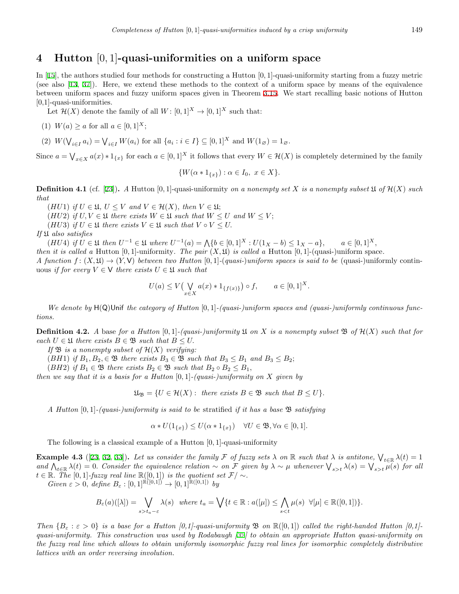## <span id="page-6-0"></span>**4 Hutton** [0*,* 1]**-quasi-uniformities on a uniform space**

In [\[15](#page-15-20)], the authors studied four methods for constructing a Hutton [0*,* 1]-quasi-uniformity starting from a fuzzy metric (see also [[13,](#page-14-7) [37](#page-15-18)]). Here, we extend these methods to the context of a uniform space by means of the equivalence between uniform spaces and fuzzy uniform spaces given in Theorem [3.15](#page-4-0). We start recalling basic notions of Hutton [0,1]-quasi-uniformities.

Let  $\mathcal{H}(X)$  denote the family of all  $W: [0,1]^X \to [0,1]^X$  such that:

(1) 
$$
W(a) \ge a
$$
 for all  $a \in [0, 1]^X$ ;

(2)  $W(\bigvee_{i \in I} a_i) = \bigvee_{i \in I} W(a_i)$  for all  $\{a_i : i \in I\} \subseteq [0,1]^X$  and  $W(1_{\varnothing}) = 1_{\varnothing}$ .

Since  $a = \bigvee_{x \in X} a(x) * 1_{\{x\}}$  for each  $a \in [0,1]^X$  it follows that every  $W \in \mathcal{H}(X)$  is completely determined by the family

$$
\{W(\alpha * 1_{\{x\}}) : \alpha \in I_0, \ x \in X\}.
$$

**Definition 4.1** (cf. [\[23](#page-15-13)]). A Hutton [0, 1]-quasi-uniformity *on a nonempty set X is a nonempty subset*  $\mathfrak{U}$  *of*  $\mathcal{H}(X)$  *such that*

 $(HU1)$  *if*  $U \in \mathfrak{U}, U \leq V$  *and*  $V \in \mathcal{H}(X)$ *, then*  $V \in \mathfrak{U}$ ;

 $(HU2)$  *if*  $U, V \in \mathfrak{U}$  *there exists*  $W \in \mathfrak{U}$  *such that*  $W \leq U$  *and*  $W \leq V$ ;

(*HU3*) *if*  $U \in \mathfrak{U}$  *there exists*  $V \in \mathfrak{U}$  *such that*  $V \circ V \leq U$ .

*If* U *also satisfies*

(*HU4*) if  $U \in \mathfrak{U}$  then  $U^{-1} \in \mathfrak{U}$  where  $U^{-1}(a) = \bigwedge \{b \in [0,1]^X : U(1_X - b) \leq 1_X - a\}, \quad a \in [0,1]^X,$ *then it is called a* Hutton  $[0,1]$ -uniformity. The pair  $(X, \mathfrak{U})$  is called a Hutton  $[0,1]$ -(quasi-)uniform space. *A function*  $f: (X, \mathfrak{U}) \to (Y, \mathsf{V})$  *between two Hutton* [0, 1]*-*(*quasi-*)*uniform spaces is said to be* (quasi-)uniformly continuous *if for every*  $V \in V$  *there exists*  $U \in \mathfrak{U}$  *such that* 

$$
U(a) \le V\left(\bigvee_{x \in X} a(x) * 1_{\{f(x)\}}\right) \circ f, \qquad a \in [0,1]^X.
$$

*We denote by* H(Q)Unif *the category of Hutton* [0*,* 1]*-(quasi-)uniform spaces and (quasi-)uniformly continuous functions.*

**Definition 4.2.** A base for a Hutton  $[0,1]$ -(quasi-)uniformity  $\mathfrak{U}$  on X is a nonempty subset  $\mathfrak{B}$  of  $\mathcal{H}(X)$  such that for  $\forall$  *each*  $U \in \mathfrak{U}$  *there exists*  $B \in \mathfrak{B}$  *such that*  $B \leq U$ .

*If*  $\mathfrak{B}$  *is a nonempty subset of*  $\mathcal{H}(X)$  *verifying:* 

(*BH*1) *if*  $B_1, B_2, \in \mathfrak{B}$  *there exists*  $B_3 \in \mathfrak{B}$  *such that*  $B_3 \leq B_1$  *and*  $B_3 \leq B_2$ ;

(*BH2*) *if*  $B_1 \in \mathfrak{B}$  *there exists*  $B_2 \in \mathfrak{B}$  *such that*  $B_2 \circ B_2 \leq B_1$ *,* 

*then we say that it is a basis for a Hutton* [0*,* 1]*-(quasi-)uniformity on X given by*

 $\mathfrak{U}_{\mathfrak{B}} = \{U \in \mathcal{H}(X) : \text{ there exists } B \in \mathfrak{B} \text{ such that } B \leq U\}.$ 

*A Hutton* [0*,* 1]*-(quasi-)uniformity is said to be* stratified *if it has a base* B *satisfying*

 $\alpha * U(1_{\{x\}}) \leq U(\alpha * 1_{\{x\}}) \quad \forall U \in \mathfrak{B}, \forall \alpha \in [0,1].$ 

The following is a classical example of a Hutton [0*,* 1]-quasi-uniformity

**Example 4.3** ([[23,](#page-15-13) [32](#page-15-25), [33](#page-15-7)]). Let us consider the family  $\mathcal F$  of fuzzy sets  $\lambda$  on  $\mathbb R$  such that  $\lambda$  is antitone,  $\bigvee_{t\in\mathbb R}\lambda(t)=1$ and  $\bigwedge_{t\in\mathbb{R}}\lambda(t)=0$ . Consider the equivalence relation  $\sim$  on F given by  $\lambda \sim \mu$  whenever  $\bigvee_{s>t}\lambda(s)=\bigvee_{s>t}\mu(s)$  for all  $t \in \mathbb{R}$ *. The* [0*,* 1]*-fuzzy real line*  $\mathbb{R}([0,1])$  *is the quotient set*  $\mathcal{F}/\sim$ *.* 

 $Given \varepsilon > 0, define B_{\varepsilon} : [0,1]^{\mathbb{R}([0,1])} \to [0,1]^{\mathbb{R}([0,1])}$  *by* 

$$
B_\varepsilon(a)([\lambda])=\bigvee_{s>t_a-\varepsilon}\lambda(s)\ \ \text{where}\ t_a=\bigvee\{t\in\mathbb{R}:a([\mu])\leq\bigwedge_{s
$$

*Then*  $\{B_{\varepsilon} : \varepsilon > 0\}$  *is a base for a Hutton [0,1]-quasi-uniformity* **B** *on*  $\mathbb{R}([0,1])$  *called the right-handed Hutton [0,1]quasi-uniformity. This construction was used by Rodabaugh [\[32\]](#page-15-25) to obtain an appropriate Hutton quasi-uniformity on the fuzzy real line which allows to obtain uniformly isomorphic fuzzy real lines for isomorphic completely distributive lattices with an order reversing involution.*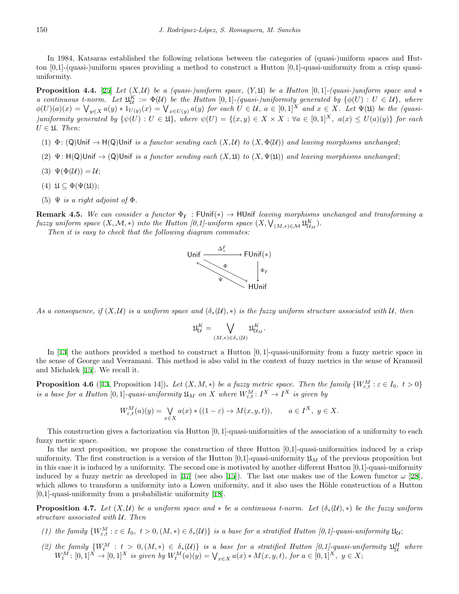In 1984, Katsaras established the following relations between the categories of (quasi-)uniform spaces and Hutton [0,1]-(quasi-)uniform spaces providing a method to construct a Hutton [0,1]-quasi-uniformity from a crisp quasiuniformity.

**Proposition 4.4.** [\[25](#page-15-0)] *Let*  $(X, \mathcal{U})$  *be a (quasi-)uniform space,*  $(Y, \mathcal{U})$  *be a Hutton* [0,1]*-(quasi-)uniform space and*  $*$ *a* continuous t-norm. Let  $\mathfrak{U}_\mathcal{U}^K := \Phi(\mathcal{U})$  be the Hutton [0,1]-(quasi-)uniformity generated by  $\{\phi(U): U \in \mathcal{U}\}\$ , where  $\phi(U)(a)(x) = \bigvee_{y \in X} a(y) * 1_{U(y)}(x) = \bigvee_{x \in U(y)} a(y)$  for each  $U \in \mathcal{U}$ ,  $a \in [0,1]^X$  and  $x \in X$ . Let  $\Psi(\mathfrak{U})$  be the (quasi-)uniformity generated by  $\{\psi(U): U \in \mathfrak{U}\}\$ , where  $\psi(U) = \{(x, y) \in X \times X : \forall a \in [0, 1]^X$ ,  $a(x) \leq U(a)(y)\}$  for each  $U \in \mathfrak{U}$ *. Then:* 

- (1)  $\Phi$ : (Q)Unif  $\rightarrow$  H(Q)Unif *is a functor sending each*  $(X, \mathcal{U})$  *to*  $(X, \Phi(\mathcal{U}))$  *and leaving morphisms unchanged*;
- (2)  $\Psi$ : H(Q)Unif  $\rightarrow$  (Q)Unif *is a functor sending each*  $(X, \mathfrak{U})$  *to*  $(X, \Psi(\mathfrak{U}))$  *and leaving morphisms unchanged*;
- (3)  $\Psi(\Phi(\mathcal{U})) = \mathcal{U}$ ;
- (4)  $\mathfrak{U} \subseteq \Phi(\Psi(\mathfrak{U}));$
- (5)  $\Psi$  *is a right adjoint of*  $\Phi$ *.*

**Remark 4.5.** *We can consider a functor*  $\Phi_F$ : FUnif(\*)  $\to$  HUnif *leaving morphisms unchanged and transforming a fuzzy uniform space*  $(X, \mathcal{M}, *)$  *into the Hutton [0,1]-uniform space*  $(X, \bigvee_{(M, *) \in \mathcal{M}} \mathfrak{U}_{\mathcal{U}_M}^K)$ .

*Then it is easy to check that the following diagram commutes:*



*As a consequence, if*  $(X, U)$  *is a uniform space and*  $(\delta_*(U), *)$  *is the fuzzy uniform structure associated with*  $U$ *, then* 

$$
\mathfrak{U}^K_{\mathcal{U}}=\bigvee_{(M,*)\in\delta_*(\mathcal{U})}\mathfrak{U}^K_{\mathcal{U}_M}.
$$

In [[13\]](#page-14-7) the authors provided a method to construct a Hutton [0*,* 1]-quasi-uniformity from a fuzzy metric space in the sense of George and Veeramani. This method is also valid in the context of fuzzy metrics in the sense of Kramosil and Michalek [[15\]](#page-15-20). We recall it.

<span id="page-7-1"></span>**Proposition 4.6** ([\[13](#page-14-7), Proposition 14]). Let  $(X, M, *)$  be a fuzzy metric space. Then the family  $\{W_{\varepsilon,t}^M : \varepsilon \in I_0, t > 0\}$ *is a base for a Hutton*  $[0,1]$ -quasi-uniformity  $\mathfrak{U}_M$  on X where  $W_{\varepsilon,t}^M: I^X \to I^X$  is given by

$$
W_{\varepsilon,t}^M(a)(y) = \bigvee_{x \in X} a(x) * ((1 - \varepsilon) \to M(x, y, t)), \qquad a \in I^X, \ y \in X.
$$

This construction gives a factorization via Hutton [0*,* 1]-quasi-uniformities of the association of a uniformity to each fuzzy metric space.

In the next proposition, we propose the construction of three Hutton  $[0,1]$ -quasi-uniformities induced by a crisp uniformity. The first construction is a version of the Hutton  $[0,1]$ -quasi-uniformity  $\mathfrak{U}_M$  of the previous proposition but in this case it is induced by a uniformity. The second one is motivated by another different Hutton [0,1]-quasi-uniformity induced by a fuzzy metric as developed in [[37\]](#page-15-18) (see also [[15\]](#page-15-20)). The last one makes use of the Lowen functor  $\omega$  [\[28](#page-15-4)], which allows to transform a uniformity into a Lowen uniformity, and it also uses the Höhle construction of a Hutton [0,1]-quasi-uniformity from a probabilistic uniformity [\[18](#page-15-11)].

<span id="page-7-0"></span>**Proposition 4.7.** Let  $(X, \mathcal{U})$  be a uniform space and  $*$  be a continuous t-norm. Let  $(\delta_*(\mathcal{U}), *)$  be the fuzzy uniform *structure associated with U. Then*

- (1) the family  $\{W_{\varepsilon,t}^M : \varepsilon \in I_0, t > 0, (M,*) \in \delta_*(\mathcal{U})\}$  is a base for a stratified Hutton [0,1]-quasi-uniformity  $\mathfrak{U}_\mathcal{U}$ ;
- (2) the family  $\{W_t^M : t > 0, (M,*) \in \delta_*(\mathcal{U})\}$  is a base for a stratified Hutton [0,1]-quasi-uniformity  $\mathfrak{U}_\mathcal{U}^H$  where  $W_t^M: [0,1]^X \to [0,1]^X$  is given by  $W_t^M(a)(y) = \bigvee_{x \in X} a(x) * M(x, y, t)$ , for  $a \in [0,1]^X$ ,  $y \in X$ ;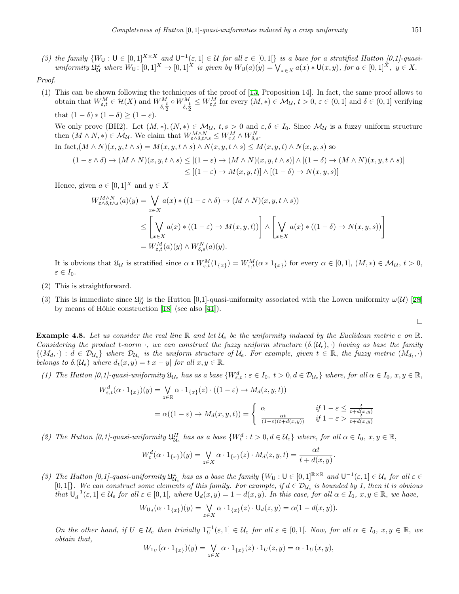(3) the family  $\{W_U: U \in [0,1]^{X \times X} \text{ and } U^{-1}(\varepsilon,1] \in \mathcal{U} \text{ for all } \varepsilon \in [0,1]\}$  is a base for a stratified Hutton [0,1]-quasiuniformity  $\mathfrak{U}^{\omega}_{\mathcal{U}}$  where  $W_{\mathsf{U}}: [0,1]^X \to [0,1]^X$  is given by  $W_{\mathsf{U}}(a)(y) = \bigvee_{x \in X} a(x) * \mathsf{U}(x,y)$ , for  $a \in [0,1]^X$ ,  $y \in X$ .

#### *Proof.*

(1) This can be shown following the techniques of the proof of [\[13](#page-14-7), Proposition 14]. In fact, the same proof allows to obtain that  $W_{\varepsilon,t}^M \in \mathcal{H}(X)$  and  $W_{\delta,\frac{t}{2}}^M$  $\circ$   $W^M_{\delta, \frac{t}{2}}$  $\leq W_{\varepsilon,t}^M$  for every  $(M,*) \in \mathcal{M}_{\mathcal{U}}, t > 0, \varepsilon \in (0,1]$  and  $\delta \in (0,1]$  verifying that  $(1 - \delta) * (1 - \delta) > (1 - \epsilon)$ . We only prove (BH2). Let  $(M, *), (N, *) \in M_{\mathcal{U}}, t, s > 0$  and  $\varepsilon, \delta \in I_0$ . Since  $M_{\mathcal{U}}$  is a fuzzy uniform structure then  $(M \wedge N, *) \in M_{\mathcal{U}}$ . We claim that  $W_{\varepsilon \wedge \delta, t \wedge s}^{M \wedge N} \leq W_{\varepsilon,t}^{M} \wedge W_{\delta,s}^{N}$ . In fact,  $(M \wedge N)(x, y, t \wedge s) = M(x, y, t \wedge s) \wedge N(x, y, t \wedge s) \leq M(x, y, t) \wedge N(x, y, s)$  so  $(1 - \varepsilon \wedge \delta) \to (M \wedge N)(x, y, t \wedge s) \leq [(1 - \varepsilon) \to (M \wedge N)(x, y, t \wedge s)] \wedge [(1 - \delta) \to (M \wedge N)(x, y, t \wedge s)]$ *≤* [(1 *− ε*) *→ M*(*x, y, t*)] *∧* [(1 *− δ*) *→ N*(*x, y, s*)]

Hence, given  $a \in [0,1]^X$  and  $y \in X$ 

$$
W_{\varepsilon \wedge \delta, t \wedge s}^{M \wedge N}(a)(y) = \bigvee_{x \in X} a(x) * ((1 - \varepsilon \wedge \delta) \to (M \wedge N)(x, y, t \wedge s))
$$
  
\n
$$
\leq \left[ \bigvee_{x \in X} a(x) * ((1 - \varepsilon) \to M(x, y, t)) \right] \wedge \left[ \bigvee_{x \in X} a(x) * ((1 - \delta) \to N(x, y, s)) \right]
$$
  
\n
$$
= W_{\varepsilon, t}^{M}(a)(y) \wedge W_{\delta, s}^{N}(a)(y).
$$

It is obvious that  $\mathfrak{U}_\mathcal{U}$  is stratified since  $\alpha * W_{\varepsilon,t}^M(1_{\{x\}}) = W_{\varepsilon,t}^M(\alpha * 1_{\{x\}})$  for every  $\alpha \in [0,1], (M,*) \in \mathcal{M}_\mathcal{U}, t > 0$ , *ε ∈ I*0*.*

- (2) This is straightforward.
- (3) This is immediate since  $\mathfrak{U}^{\omega}_{\mathcal{U}}$  is the Hutton [0,1]-quasi-uniformity associated with the Lowen uniformity  $\omega(\mathcal{U})$  [\[28](#page-15-4)] by means of Höhle construction  $[18]$  $[18]$  (see also  $[41]$  $[41]$ ).

$$
\Box
$$

**Example 4.8.** Let us consider the real line  $\mathbb{R}$  and let  $\mathcal{U}_e$  be the uniformity induced by the Euclidean metric  $e$  on  $\mathbb{R}$ . *Considering the product t-norm*  $\cdot$ *, we can construct the fuzzy uniform structure*  $(\delta \mathcal{L}(U_e), \cdot)$  *having as base the family*  $\{(M_d,\cdot): d \in \mathcal{D}_{\mathcal{U}_e}\}\$  where  $\mathcal{D}_{\mathcal{U}_e}$  is the uniform structure of  $\mathcal{U}_e$ . For example, given  $t \in \mathbb{R}$ , the fuzzy metric  $(M_{d_t},\cdot)$ *belongs to*  $\delta$ *.*( $U_e$ ) *where*  $d_t(x, y) = t|x - y|$  *for all*  $x, y \in \mathbb{R}$ *.* 

(1) The Hutton [0,1]-quasi-uniformity  $\mathfrak{U}_{\mathcal{U}_e}$  has as a base  $\{W_{\varepsilon,t}^d : \varepsilon \in I_0, t > 0, d \in \mathcal{D}_{\mathcal{U}_e}\}\$  where, for all  $\alpha \in I_0, x, y \in \mathbb{R},$ 

$$
W_{\varepsilon,t}^d(\alpha \cdot 1_{\{x\}})(y) = \bigvee_{z \in \mathbb{R}} \alpha \cdot 1_{\{x\}}(z) \cdot ((1 - \varepsilon) \to M_d(z, y, t))
$$
  

$$
= \alpha((1 - \varepsilon) \to M_d(x, y, t)) = \begin{cases} \alpha & \text{if } 1 - \varepsilon \le \frac{t}{t + d(x, y)} \\ \frac{\alpha t}{(1 - \varepsilon)(t + d(x, y))} & \text{if } 1 - \varepsilon > \frac{t}{t + d(x, y)} \end{cases}
$$

(2) The Hutton [0,1]-quasi-uniformity  $\mathfrak{U}_{\mathcal{U}_e}^H$  has as a base  $\{W_t^d : t > 0, d \in \mathcal{U}_e\}$  where, for all  $\alpha \in I_0$ ,  $x, y \in \mathbb{R}$ ,

$$
W_t^d(\alpha \cdot 1_{\{x\}})(y) = \bigvee_{z \in X} \alpha \cdot 1_{\{x\}}(z) \cdot M_d(z, y, t) = \frac{\alpha t}{t + d(x, y)}.
$$

(3) The Hutton [0,1]-quasi-uniformity  $\mathfrak{U}^{\omega}_{\mathcal{U}_e}$  has as a base the family  $\{W_U: U \in [0,1]^{\mathbb{R} \times \mathbb{R}} \text{ and } U^{-1}(\varepsilon,1] \in \mathcal{U}_e \text{ for all } \varepsilon \in \mathbb{R} \}$ [0,1] $\}$ . We can construct some elements of this family. For example, if  $d \in \mathcal{D}_{\mathcal{U}_e}$  is bounded by 1, then it is obvious that  $U_d^{-1}(\varepsilon,1] \in \mathcal{U}_e$  for all  $\varepsilon \in [0,1]$ , where  $U_d(x,y) = 1 - d(x,y)$ . In this case, for all  $\alpha \in I_0$ ,  $x, y \in \mathbb{R}$ , we have,

$$
W_{\mathsf{U}_d}(\alpha \cdot 1_{\{x\}})(y) = \bigvee_{z \in X} \alpha \cdot 1_{\{x\}}(z) \cdot \mathsf{U}_d(z, y) = \alpha(1 - d(x, y)).
$$

<span id="page-8-0"></span>On the other hand, if  $U \in \mathcal{U}_e$  then trivially  $1_U^{-1}(\varepsilon, 1] \in \mathcal{U}_e$  for all  $\varepsilon \in [0, 1]$ . Now, for all  $\alpha \in I_0$ ,  $x, y \in \mathbb{R}$ , we *obtain that,*

$$
W_{1_U}(\alpha\cdot 1_{\{x\}})(y)=\bigvee_{z\in X}\alpha\cdot 1_{\{x\}}(z)\cdot 1_U(z,y)=\alpha\cdot 1_U(x,y),
$$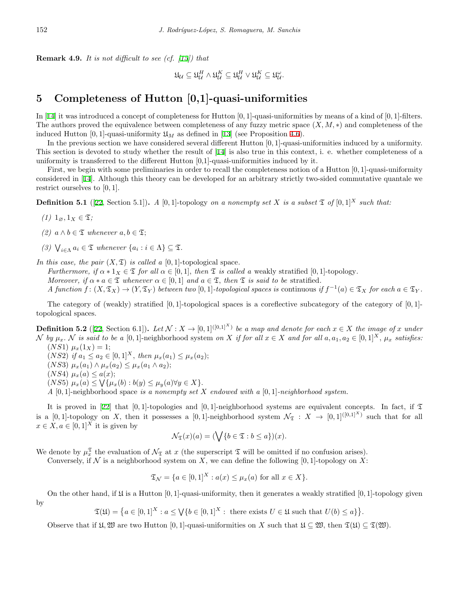**Remark 4.9.** *It is not difficult to see (cf. [\[15\]](#page-15-20)) that*

$$
\mathfrak{U}_\mathcal{U} \subseteq \mathfrak{U}_\mathcal{U}^H \land \mathfrak{U}_\mathcal{U}^K \subseteq \mathfrak{U}_\mathcal{U}^H \lor \mathfrak{U}_\mathcal{U}^K \subseteq \mathfrak{U}_\mathcal{U}^\omega.
$$

# <span id="page-9-0"></span>**5 Completeness of Hutton [0,1]-quasi-uniformities**

In [[14\]](#page-15-21) it was introduced a concept of completeness for Hutton [0*,* 1]-quasi-uniformities by means of a kind of [0*,* 1]-filters. The authors proved the equivalence between completeness of any fuzzy metric space (*X, M, ∗*) and completeness of the induced Hutton [0, 1]-quasi-uniformity  $\mathfrak{U}_M$  as defined in [\[13](#page-14-7)] (see Proposition [4.6\)](#page-7-1).

In the previous section we have considered several different Hutton [0*,* 1]-quasi-uniformities induced by a uniformity. This section is devoted to study whether the result of [\[14](#page-15-21)] is also true in this context, i. e. whether completeness of a uniformity is transferred to the different Hutton  $[0,1]$ -quasi-uniformities induced by it.

First, we begin with some preliminaries in order to recall the completeness notion of a Hutton [0*,* 1]-quasi-uniformity considered in [\[14](#page-15-21)]. Although this theory can be developed for an arbitrary strictly two-sided commutative quantale we restrict ourselves to [0*,* 1]*.*

**Definition 5.1** ([[22,](#page-15-26) Section 5.1]). *A* [0*,* 1]-topology *on a nonempty set X is a subset*  $\mathfrak{T}$  *of* [0*,* 1]<sup>*X*</sup> *such that:* 

- *(1)*  $1_{\emptyset}, 1_X \in \mathfrak{T}$ ;
- *(2)*  $a \wedge b \in \mathcal{I}$  *whenever*  $a, b \in \mathcal{I}$ ;
- *(3)*  $\bigvee_{i \in \Lambda} a_i \in \mathfrak{T}$  *whenever*  $\{a_i : i \in \Lambda\} \subseteq \mathfrak{T}$ .

*In this case, the pair*  $(X, \mathfrak{T})$  *is called a* [0, 1]-topological space.

*Furthermore, if*  $\alpha * 1_X \in \mathfrak{T}$  *for all*  $\alpha \in [0,1]$ *, then*  $\mathfrak{T}$  *is called a* weakly stratified [0,1]-topology. *Moreover, if*  $\alpha * a \in \mathfrak{T}$  *whenever*  $\alpha \in [0,1]$  *and*  $a \in \mathfrak{T}$ *, then*  $\mathfrak{T}$  *is said to be* stratified. A function  $f: (X, \mathfrak{T}_X) \to (Y, \mathfrak{T}_Y)$  between two [0,1]-topological spaces is continuous if  $f^{-1}(a) \in \mathfrak{T}_X$  for each  $a \in \mathfrak{T}_Y$ .

The category of (weakly) stratified [0*,* 1]-topological spaces is a coreflective subcategory of the category of [0*,* 1] topological spaces.

**Definition 5.2** ([[22,](#page-15-26) Section 6.1]). Let  $\mathcal{N}: X \to [0,1]^{([0,1]^X)}$  be a map and denote for each  $x \in X$  the image of x under N by  $\mu_x$ . N is said to be a [0,1]-neighborhood system on X if for all  $x \in X$  and for all  $a, a_1, a_2 \in [0,1]^X$ ,  $\mu_x$  satisfies:  $(NS1)$   $\mu_x(1_X) = 1;$ 

 $(NS2)$  *if*  $a_1 \leq a_2 \in [0,1]^X$ , *then*  $\mu_x(a_1) \leq \mu_x(a_2)$ ;  $(NS3)$   $\mu_x(a_1) \wedge \mu_x(a_2) \leq \mu_x(a_1 \wedge a_2);$  $(NS4) \mu_x(a) \leq a(x);$  $(XS5)$   $\mu_x(a) \le \sqrt{\{\mu_x(b) : b(y) \le \mu_y(a) \forall y \in X\}}.$ 

*A* [0*,* 1]-neighborhood space *is a nonempty set X endowed with a* [0*,* 1]*-neighborhood system.*

It is proved in [[22](#page-15-26)] that  $[0,1]$ -topologies and  $[0,1]$ -neighborhood systems are equivalent concepts. In fact, if  $\mathfrak T$ is a  $[0,1]$ -topology on *X*, then it possesses a  $[0,1]$ -neighborhood system  $\mathcal{N}_{\mathfrak{T}} : X \to [0,1]^{([0,1]^X)}$  such that for all  $x \in X, a \in [0,1]^X$  it is given by

$$
\mathcal{N}_{\mathfrak{T}}(x)(a) = (\bigvee \{b \in \mathfrak{T} : b \le a\})(x).
$$

We denote by  $\mu_x^{\mathfrak{T}}$  the evaluation of  $\mathcal{N}_{\mathfrak{T}}$  at *x* (the superscript  $\mathfrak{T}$  will be omitted if no confusion arises).

Conversely, if  $\mathcal N$  is a neighborhood system on X, we can define the following  $[0,1]$ -topology on X:

$$
\mathfrak{T}_{\mathcal{N}} = \{ a \in [0,1]^X : a(x) \le \mu_x(a) \text{ for all } x \in X \}.
$$

On the other hand, if  $\mathfrak U$  is a Hutton [0, 1]-quasi-uniformity, then it generates a weakly stratified [0, 1]-topology given by

 $\mathfrak{T}(\mathfrak{U}) = \{a \in [0,1]^X : a \leq \bigvee \{b \in [0,1]^X : \text{ there exists } U \in \mathfrak{U} \text{ such that } U(b) \leq a\} \}.$ 

Observe that if  $\mathfrak{U}, \mathfrak{W}$  are two Hutton [0, 1]-quasi-uniformities on *X* such that  $\mathfrak{U} \subset \mathfrak{W}$ , then  $\mathfrak{T}(\mathfrak{U}) \subset \mathfrak{T}(\mathfrak{W})$ .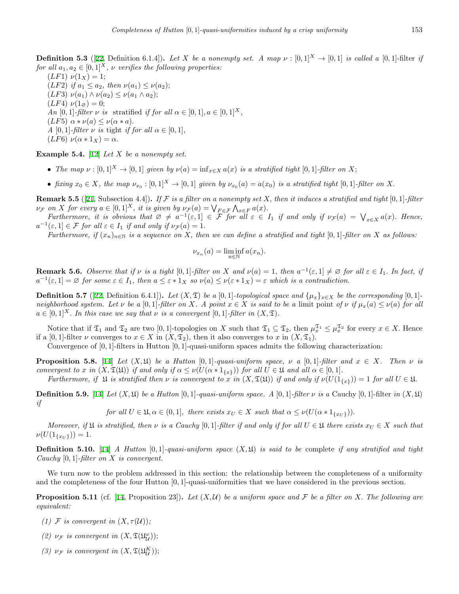**Definition 5.3** ([[22,](#page-15-26) Definition 6.1.4]). Let *X* be a nonempty set. A map  $\nu : [0,1]^X \rightarrow [0,1]$  is called a [0,1]-filter *if for all*  $a_1, a_2 \in [0,1]^X$ , *v verifies the following properties:* 

 $(LF1)$   $\nu(1_X) = 1;$  $(LF2)$  *if*  $a_1 \leq a_2$ *, then*  $\nu(a_1) \leq \nu(a_2)$ ;  $(LF3)$   $\nu(a_1) \wedge \nu(a_2) \leq \nu(a_1 \wedge a_2);$  $(LF4)$   $\nu(1_{\emptyset}) = 0;$ *An*  $[0, 1]$ *-filter*  $\nu$  *is* stratified *if for all*  $\alpha \in [0, 1], a \in [0, 1]^X$ ,  $(LF5) \alpha * \nu(a) \leq \nu(\alpha * a).$ *A*  $[0, 1]$ *-filter*  $\nu$  *is* tight *if for all*  $\alpha \in [0, 1]$ *,*  $(LF6)\ \nu(\alpha * 1_X) = \alpha.$ 

**Example 5.4.** [\[12](#page-14-3)] *Let X be a nonempty set.*

- The map  $\nu : [0,1]^X \to [0,1]$  given by  $\nu(a) = \inf_{x \in X} a(x)$  is a stratified tight  $[0,1]$ -filter on X;
- fixing  $x_0 \in X$ , the map  $\nu_{x_0} : [0,1]^X \to [0,1]$  given by  $\nu_{x_0}(a) = a(x_0)$  is a stratified tight  $[0,1]$ -filter on X.

**Remark 5.5** ([\[21](#page-15-27), Subsection 4.4]). If  $\mathcal F$  is a filter on a nonempty set X, then it induces a stratified and tight [0, 1]-filter  $\nu_{\mathcal{F}}$  on X for every  $a \in [0,1]^X$ , it is given by  $\nu_{\mathcal{F}}(a) = \bigvee_{F \in \mathcal{F}} \bigwedge_{x \in F} a(x)$ .

Furthermore, it is obvious that  $\emptyset \neq a^{-1}(\varepsilon, 1] \in \widetilde{\mathcal{F}}$  for all  $\varepsilon \in I_1$  if and only if  $\nu_{\mathcal{F}}(a) = \bigvee_{x \in X} a(x)$ . Hence,  $a^{-1}(\varepsilon, 1] \in \mathcal{F}$  *for all*  $\varepsilon \in I_1$  *if and only if*  $\nu_{\mathcal{F}}(a) = 1$ *.* 

*Furthermore, if*  $(x_n)_{n\in\mathbb{N}}$  *is a sequence on X, then we can define a stratified and tight* [0, 1]*-filter on X as follows:* 

$$
\nu_{x_n}(a) = \liminf_{n \in \mathbb{N}} a(x_n).
$$

<span id="page-10-1"></span>**Remark 5.6.** Observe that if  $\nu$  is a tight  $[0,1]$ -filter on X and  $\nu(a) = 1$ , then  $a^{-1}(\varepsilon, 1] \neq \emptyset$  for all  $\varepsilon \in I_1$ . In fact, if  $a^{-1}(\varepsilon,1] = \varnothing$  for some  $\varepsilon \in I_1$ , then  $a \leq \varepsilon * 1_X$  so  $\nu(a) \leq \nu(\varepsilon * 1_X) = \varepsilon$  which is a contradiction.

**Definition 5.7** ([\[22](#page-15-26), Definition 6.4.1]). Let  $(X, \mathfrak{T})$  be a [0,1]-topological space and  $\{\mu_x\}_{x \in X}$  be the corresponding [0,1]neighborhood system. Let  $\nu$  be a [0,1]-filter on X. A point  $x \in X$  is said to be a limit point of  $\nu$  if  $\mu_x(a) \le \nu(a)$  for all  $a \in [0,1]^X$ *. In this case we say that*  $\nu$  *is a convergent*  $[0,1]$ *-filter in*  $(X,\mathfrak{T})$ *.* 

Notice that if  $\mathfrak{T}_1$  and  $\mathfrak{T}_2$  are two [0, 1]-topologies on *X* such that  $\mathfrak{T}_1 \subseteq \mathfrak{T}_2$ , then  $\mu_x^{\mathfrak{T}_1} \leq \mu_x^{\mathfrak{T}_2}$  for every  $x \in X$ . Hence if a [0, 1]-filter *v* converges to  $x \in X$  in  $(X, \mathfrak{T}_2)$ , then it also converges to *x* in  $(X, \mathfrak{T}_1)$ *.* 

Convergence of [0*,* 1]-filters in Hutton [0*,* 1]-quasi-uniform spaces admits the following characterization:

<span id="page-10-0"></span>**Proposition 5.8.** [\[14](#page-15-21)] Let  $(X, \mathfrak{U})$  be a Hutton [0,1]*-quasi-uniform space,*  $\nu$  *a* [0,1]*-filter and*  $x \in X$ *. Then*  $\nu$  *is* convergent to x in  $(X, \mathfrak{T}(\mathfrak{U}))$  if and only if  $\alpha \leq \nu(U(\alpha * 1_{\{x\}}))$  for all  $U \in \mathfrak{U}$  and all  $\alpha \in [0,1]$ .

Furthermore, if  $\mathfrak U$  is stratified then  $\nu$  is convergent to x in  $(X, \mathfrak T(\mathfrak U))$  if and only if  $\nu(U(1_{\{x\}})) = 1$  for all  $U \in \mathfrak U$ .

**Definition 5.9.** [\[14](#page-15-21)] *Let*  $(X, \mathfrak{U})$  *be a Hutton* [0, 1]*-quasi-uniform space. A* [0, 1]*-filter*  $\nu$  *is a* Cauchy [0, 1]-filter *in*  $(X, \mathfrak{U})$ *if*

for all  $U \in \mathfrak{U}, \alpha \in (0,1]$ , there exists  $x_U \in X$  such that  $\alpha \leq \nu(U(\alpha * 1_{\{x_U\}})).$ 

*Moreover, if*  $\mathfrak{U}$  *is stratified, then*  $\nu$  *is a Cauchy* [0,1]*-filter if and only if for all*  $U \in \mathfrak{U}$  *there exists*  $x_U \in X$  *such that*  $\nu(U(1_{\{x_U\}})) = 1.$ 

**Definition 5.10.** [\[14](#page-15-21)] *A Hutton* [0*,* 1]*-quasi-uniform space* (*X,* U) *is said to be* complete *if any stratified and tight Cauchy* [0*,* 1]*-filter on X is convergent.*

We turn now to the problem addressed in this section: the relationship between the completeness of a uniformity and the completeness of the four Hutton [0*,* 1]-quasi-uniformities that we have considered in the previous section.

<span id="page-10-2"></span>**Proposition 5.11** (cf. [[14,](#page-15-21) Proposition 23]). Let  $(X, \mathcal{U})$  be a uniform space and  $\mathcal{F}$  be a filter on X. The following are *equivalent:*

- *(1)*  $\mathcal F$  *is convergent in*  $(X, \tau(\mathcal U))$ *;*
- *(2)*  $\nu_{\mathcal{F}}$  *is convergent in*  $(X, \mathfrak{T}(\mathfrak{U}_{\mathcal{U}}^{\omega}))$ ;
- *(3)*  $\nu_{\mathcal{F}}$  *is convergent in*  $(X, \mathfrak{T}(\mathfrak{U}_\mathcal{U}^K));$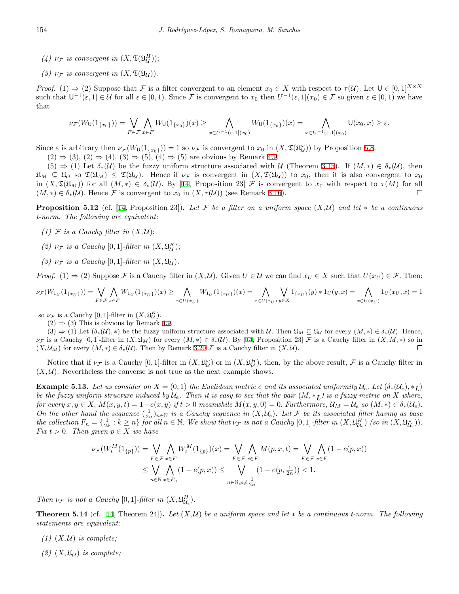- *(4)*  $\nu_{\mathcal{F}}$  *is convergent in*  $(X, \mathfrak{T}(\mathfrak{U}_{\mathcal{U}}^H));$
- *(5)*  $\nu_{\mathcal{F}}$  *is convergent in*  $(X, \mathfrak{T}(\mathfrak{U}_{\mathcal{U}})).$

*Proof.* (1)  $\Rightarrow$  (2) Suppose that *F* is a filter convergent to an element  $x_0 \in X$  with respect to  $\tau(\mathcal{U})$ . Let  $\mathsf{U} \in [0,1]^{X \times X}$ such that  $U^{-1}(\varepsilon,1] \in \mathcal{U}$  for all  $\varepsilon \in [0,1)$ . Since F is convergent to  $x_0$  then  $U^{-1}(\varepsilon,1](x_0) \in \mathcal{F}$  so given  $\varepsilon \in [0,1)$  we have that

$$
\nu_{\mathcal{F}}(W_{\mathsf{U}}(1_{\{x_0\}})) = \bigvee_{F \in \mathcal{F}} \bigwedge_{x \in F} W_{\mathsf{U}}(1_{\{x_0\}})(x) \geq \bigwedge_{x \in U^{-1}(\varepsilon,1](x_0)} W_{\mathsf{U}}(1_{\{x_0\}})(x) = \bigwedge_{x \in U^{-1}(\varepsilon,1](x_0)} \mathsf{U}(x_0,x) \geq \varepsilon.
$$

Since  $\varepsilon$  is arbitrary then  $\nu_{\mathcal{F}}(W_0(1_{\{x_0\}})) = 1$  so  $\nu_{\mathcal{F}}$  is convergent to  $x_0$  in  $(X, \mathfrak{T}(\mathfrak{U}_{\mathcal{U}}^{\omega}))$  by Proposition [5.8](#page-10-0).

 $(2) \Rightarrow (3)$ ,  $(2) \Rightarrow (4)$ ,  $(3) \Rightarrow (5)$ ,  $(4) \Rightarrow (5)$  are obvious by Remark [4.9.](#page-8-0)

 $(5) \Rightarrow (1)$  Let  $\delta_*(\mathcal{U})$  be the fuzzy uniform structure associated with *U* (Theorem [3.15\)](#page-4-0). If  $(M,*) \in \delta_*(\mathcal{U})$ , then  $\mathfrak{U}_M \subseteq \mathfrak{U}_U$  so  $\mathfrak{T}(\mathfrak{U}_M) \subseteq \mathfrak{T}(\mathfrak{U}_U)$ . Hence if  $\nu_{\mathcal{F}}$  is convergent in  $(X, \mathfrak{T}(\mathfrak{U}_U))$  to  $x_0$ , then it is also convergent to  $x_0$ in  $(X, \mathfrak{T}(\mathfrak{U}_M))$  for all  $(M, *) \in \delta_*(\mathcal{U})$ . By [\[14](#page-15-21), Proposition 23] *F* is convergent to  $x_0$  with respect to  $\tau(M)$  for all  $(M, *) \in \delta_*(\mathcal{U})$ . Hence F is convergent to  $x_0$  in  $(X, \tau(\mathcal{U}))$  (see Remark [3.16\)](#page-5-0).  $\Box$ 

<span id="page-11-1"></span>**Proposition 5.12** (cf. [\[14](#page-15-21), Proposition 23]). Let  $\mathcal F$  be a filter on a uniform space  $(X, \mathcal U)$  and let  $*$  be a continuous *t-norm. The following are equivalent:*

- *(1)*  $\mathcal F$  *is a Cauchy filter in*  $(X, \mathcal U)$ ;
- (2)  $\nu_{\mathcal{F}}$  *is a Cauchy* [0, 1]*-filter in*  $(X, \mathfrak{U}_{\mathcal{U}}^K)$ ;
- *(3)*  $\nu_F$  *is a Cauchy* [0*,* 1]*-filter in*  $(X, \mathfrak{U}_U)$ *.*

*Proof.* (1)  $\Rightarrow$  (2) Suppose F is a Cauchy filter in  $(X, U)$ . Given  $U \in U$  we can find  $x_U \in X$  such that  $U(x_U) \in \mathcal{F}$ . Then:

$$
\nu_{\mathcal{F}}(W_{1_U}(1_{\{x_U\}})) = \bigvee_{F \in \mathcal{F}} \bigwedge_{x \in F} W_{1_U}(1_{\{x_U\}})(x) \ge \bigwedge_{x \in U(x_U)} W_{1_U}(1_{\{x_U\}})(x) = \bigwedge_{x \in U(x_U)} \bigvee_{y \in X} 1_{\{x_U\}}(y) * 1_U(y,x) = \bigwedge_{x \in U(x_U)} 1_U(x_U,x) = 1_{\{x_U\}}(y) \bigwedge_{x \in U(x_U)} 1_{\{x_U\}}(y) = 1_{\{x_U\}}(y) \bigwedge_{x \in U(x_U)} 1_{\{x_U\}}(y) = 1_{\{x_U\}}(y) \bigwedge_{x \in U(x_U)} 1_{\{x_U\}}(y) = 1_{\{x_U\}}(y) \bigwedge_{x \in U(x_U)} 1_{\{x_U\}}(y) = 1_{\{x_U\}}(y) \bigwedge_{x \in U(x_U)} 1_{\{x_U\}}(y) = 1_{\{x_U\}}(y) \bigwedge_{x \in U(x_U)} 1_{\{x_U\}}(y) = 1_{\{x_U\}}(y) \bigwedge_{x \in U(x_U)} 1_{\{x_U\}}(y) = 1_{\{x_U\}}(y) \bigwedge_{x \in U(x_U)} 1_{\{x_U\}}(y) = 1_{\{x_U\}}(y) \bigwedge_{x \in U(x_U)} 1_{\{x_U\}}(y) = 1_{\{x_U\}}(y) \bigwedge_{x \in U(x_U)} 1_{\{x_U\}}(y) = 1_{\{x_U\}}(y) \bigwedge_{x \in U(x_U)} 1_{\{x_U\}}(y) = 1_{\{x_U\}}(y) \bigwedge_{x \in U(x_U)} 1_{\{x_U\}}(y) = 1_{\{x_U\}}(y) \bigwedge_{x \in U(x_U)} 1_{\{x_U\}}(y) = 1_{\{x_U\}}(y) \bigwedge_{x \in U(x_U)} 1_{\{x_U\}}(y) = 1_{\{x_U\}}(y) \bigwedge_{x \in U(x_U)} 1_{\{x_U\}}(y) = 1_{\{x_U\}}(y) \bigwedge_{x \in U(x_U)} 1_{\{x_U\}}(y) = 1_{\{x_U\}}(
$$

so  $\nu_{\mathcal{F}}$  is a Cauchy [0, 1]-filter in  $(X, \mathfrak{U}_{\mathcal{U}}^K)$ .

 $(2) \Rightarrow (3)$  This is obvious by Remark [4.9](#page-8-0).

 $(3) \Rightarrow (1)$  Let  $(\delta_*(\mathcal{U}), *)$  be the fuzzy uniform structure associated with U. Then  $\mathfrak{U}_M \subseteq \mathfrak{U}_U$  for every  $(M, *) \in \delta_*(\mathcal{U})$ . Hence,  $\nu_{\mathcal{F}}$  is a Cauchy [0, 1]-filter in  $(X, \mathfrak{U}_M)$  for every  $(M, *) \in \delta_*(\mathcal{U})$ . By [[14,](#page-15-21) Proposition 23]  $\mathcal{F}$  is a Cauchy filter in  $(X, M, *)$  so in  $(X, \mathcal{U}_M)$  for every  $(M, *) \in \delta_*(\mathcal{U})$ . Then by Remark 3.20  $\mathcal{F$  $(X, \mathcal{U}_M)$  for every  $(M, *) \in \delta_*(\mathcal{U})$ . Then by Remark [3.20](#page-5-1) F is a Cauchy filter in  $(X, \mathcal{U})$ .

Notice that if  $\nu_{\mathcal{F}}$  is a Cauchy [0, 1]-filter in  $(X, \mathfrak{U}_{\mathcal{U}}^{\omega})$  or in  $(X, \mathfrak{U}_{\mathcal{U}}^H)$ , then, by the above result,  $\mathcal{F}$  is a Cauchy filter in  $(X, \mathcal{U})$ . Nevertheless the converse is not true as the next example shows.

**Example 5.13.** Let us consider on  $X = (0,1)$  the Euclidean metric e and its associated uniformity  $\mathcal{U}_e$ . Let  $(\delta_*(\mathcal{U}_e), *_L)$ *be the fuzzy uniform structure induced by*  $U_e$ . Then it is easy to see that the pair  $(M, *_L)$  is a fuzzy metric on X where, for every  $x, y \in X$ ,  $M(x, y, t) = 1 - e(x, y)$  if  $t > 0$  meanwhile  $M(x, y, 0) = 0$ . Furthermore,  $\mathcal{U}_M = \mathcal{U}_e$  so  $(M, *) \in \delta_*(\mathcal{U}_e)$ . *On the other hand the sequence*  $(\frac{1}{2n})_{n\in\mathbb{N}}$  *is a Cauchy sequence in*  $(X, \mathcal{U}_e)$ *. Let*  $\mathcal F$  *be its associated filter having as base* the collection  $F_n = \{\frac{1}{2k} : k \geq n\}$  for all  $n \in \mathbb{N}$ . We show that  $\nu_{\mathcal{F}}$  is not a Cauchy [0, 1]-filter in  $(X, \mathfrak{U}_{\mathcal{U}_e}^H)$  (so in  $(X, \mathfrak{U}_{\mathcal{U}_e}^W)$ ). *Fix*  $t > 0$ *. Then given*  $p \in X$  *we have* 

$$
\nu_{\mathcal{F}}(W_t^M(1_{\{p\}})) = \bigvee_{F \in \mathcal{F}} \bigwedge_{x \in F} W_t^M(1_{\{p\}})(x) = \bigvee_{F \in \mathcal{F}} \bigwedge_{x \in F} M(p, x, t) = \bigvee_{F \in \mathcal{F}} \bigwedge_{x \in F} (1 - e(p, x))
$$
  

$$
\leq \bigvee_{n \in \mathbb{N}} \bigwedge_{x \in F_n} (1 - e(p, x)) \leq \bigvee_{n \in \mathbb{N}, p \neq \frac{1}{2n}} (1 - e(p, \frac{1}{2n})) < 1.
$$

*Then*  $\nu_{\mathcal{F}}$  *is not a Cauchy* [0, 1]*-filter in*  $(X, \mathfrak{U}_{\mathcal{U}_e}^H)$ *.* 

<span id="page-11-0"></span>**Theorem 5.14** (cf. [[14,](#page-15-21) Theorem 24]). Let  $(X, \mathcal{U})$  be a uniform space and let  $*$  be a continuous t-norm. The following *statements are equivalent:*

- $(1)$   $(X, U)$  *is complete;*
- $(2)$   $(X, \mathfrak{U}_U)$  *is complete;*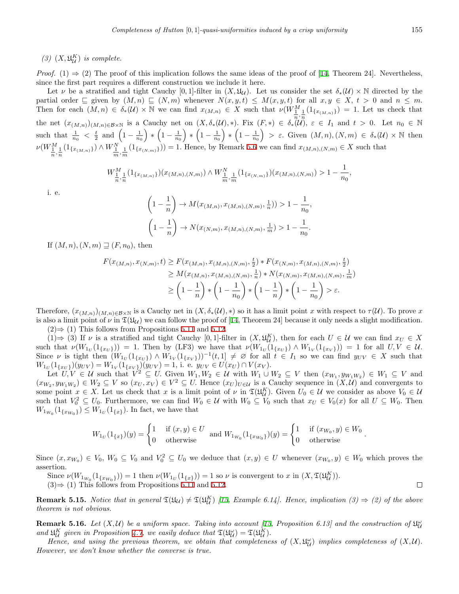(3)  $(X, \mathfrak{U}_{\mathcal{U}}^K)$  *is complete.* 

*Proof.* (1)  $\Rightarrow$  (2) The proof of this implication follows the same ideas of the proof of [\[14](#page-15-21), Theorem 24]. Nevertheless, since the first part requires a different construction we include it here.

Let *ν* be a stratified and tight Cauchy [0,1]-filter in  $(X, \mathfrak{U}_\mathcal{U})$ . Let us consider the set  $\delta_*(\mathcal{U}) \times \mathbb{N}$  directed by the partial order  $\subseteq$  given by  $(M, n) \subseteq (N, m)$  whenever  $N(x, y, t) \leq M(x, y, t)$  for all  $x, y \in X$ ,  $t > 0$  and  $n \leq m$ . Then for each  $(M,n) \in \delta_*(\mathcal{U}) \times \mathbb{N}$  we can find  $x_{(M,n)} \in X$  such that  $\nu(W^M_{\underline{1}}(1_{\{x_{(M,n)}\}})) = 1$ . Let us check that the net  $(x_{(M,n)})(M,n)\in \mathcal{B}\times \mathbb{N}$  is a Cauchy net on  $(X,\delta_*(\mathcal{U}),*)$ . Fix  $(F,*)\in \delta_*(\mathcal{U}),\ \varepsilon\in I_1$  and  $t>0$ . Let  $n_0\in \mathbb{N}$ such that  $\frac{1}{n_0} < \frac{t}{2}$  and  $\left(1 - \frac{1}{n_0}\right)$  $\Big) * (1 - \frac{1}{n_0})$  $\Big) * (1 - \frac{1}{n_0})$  $\Big) * (1 - \frac{1}{n_0})$  $\left( \begin{array}{c} \n\end{array} \right)$  >  $\varepsilon$ . Given  $(M, n), (N, m) \in \delta_*(\mathcal{U}) \times \mathbb{N}$  then  $\nu(W_{\frac{1}{n},\frac{1}{n}}^M(1_{\{x_{(M,n)\}}}) \wedge W_{\frac{1}{m},\frac{1}{m}}^N(1_{\{x_{(N,m)\}}})) = 1.$  Hence, by Remark [5.6](#page-10-1) we can find  $x_{(M,n),(N,m)} \in X$  such that

$$
W_{\frac{1}{n},\frac{1}{n}}^{M}(\mathbb{1}_{\{x_{(M,n)}\}})(x_{(M,n),(N,m)}) \wedge W_{\frac{1}{m},\frac{1}{m}}^{N}(\mathbb{1}_{\{x_{(N,m)}\}})(x_{(M,n),(N,m)}) > 1 - \frac{1}{n_0},
$$

i. e.

$$
\left(1 - \frac{1}{n}\right) \to M(x_{(M,n)}, x_{(M,n),(N,m)}, \frac{1}{n})) > 1 - \frac{1}{n_0},
$$
  

$$
\left(1 - \frac{1}{n}\right) \to N(x_{(N,m)}, x_{(M,n),(N,m)}, \frac{1}{m}) > 1 - \frac{1}{n_0}.
$$

If  $(M, n)$ ,  $(N, m) \sqsupseteq (F, n_0)$ , then

$$
F(x_{(M,n)}, x_{(N,m)}, t) \ge F(x_{(M,n)}, x_{(M,n),(N,m)}, \frac{t}{2}) * F(x_{(N,m)}, x_{(M,n),(N,m)}, \frac{t}{2})
$$
  
\n
$$
\ge M(x_{(M,n)}, x_{(M,n),(N,m)}, \frac{1}{n}) * N(x_{(N,m)}, x_{(M,n),(N,m)}, \frac{1}{m})
$$
  
\n
$$
\ge \left(1 - \frac{1}{n}\right) * \left(1 - \frac{1}{n_0}\right) * \left(1 - \frac{1}{n}\right) * \left(1 - \frac{1}{n_0}\right) > \varepsilon.
$$

Therefore,  $(x_{(M,n)})_{(M,n)\in\mathcal{B}\times\mathbb{N}}$  is a Cauchy net in  $(X, \delta_*(\mathcal{U}), *)$  so it has a limit point *x* with respect to  $\tau(\mathcal{U})$ . To prove *x* is also a limit point of  $\nu$  in  $\mathfrak{T}(\mathfrak{U}_U)$  we can follow the proof of [[14,](#page-15-21) Theorem 24] because it only needs a slight modification.  $(2) \Rightarrow (1)$  This follows from Propositions [5.11](#page-10-2) and [5.12.](#page-11-1)

 $(1) \Rightarrow (3)$  If  $\nu$  is a stratified and tight Cauchy  $[0,1]$ -filter in  $(X, \mathfrak{U}_\mathcal{U}^K)$ , then for each  $U \in \mathcal{U}$  we can find  $x_U \in X$ such that  $\nu(W_{1_U}(1_{\{x_U\}})) = 1$ . Then by (LF3) we have that  $\nu(W_{1_U}(1_{\{x_U\}}) \wedge W_{1_V}(1_{\{x_V\}})) = 1$  for all  $U, V \in \mathcal{U}$ . Since  $\nu$  is tight then  $(W_{1_U}(1_{\{x_U\}}) \wedge W_{1_V}(1_{\{x_V\}}))^{-1}(t,1] \neq \emptyset$  for all  $t \in I_1$  so we can find  $y_{UV} \in X$  such that  $W_{1_U}(1_{\{x_U\}})(y_{UV}) = W_{1_V}(1_{\{x_V\}})(y_{UV}) = 1$ , i. e.  $y_{UV} \in U(x_U) \cap V(x_V)$ .

Let  $U, V \in \mathcal{U}$  such that  $V^2 \subseteq U$ . Given  $W_1, W_2 \in \mathcal{U}$  with  $W_1 \cup W_2 \subseteq V$  then  $(x_{W_1}, y_{W_1W_2}) \in W_1 \subseteq V$  and  $(x_{W_2}, y_{W_1W_2}) \in W_2 \subseteq V$  so  $(x_U, x_V) \in V^2 \subseteq U$ . Hence  $(x_U)_{U \in \mathcal{U}}$  is a Cauchy sequence in  $(X, \mathcal{U})$  and convergents to some point  $x \in X$ . Let us check that  $x$  is a limit point of  $\nu$  in  $\mathfrak{T}(\mathfrak{U}_U^K)$ . Given  $U_0 \in \mathcal{U}$  we consider as above  $V_0 \in \mathcal{U}$ such that  $V_0^2 \subseteq U_0$ . Furthermore, we can find  $W_0 \in \mathcal{U}$  with  $W_0 \subseteq V_0$  such that  $x_U \in V_0(x)$  for all  $U \subseteq W_0$ . Then  $W_{1_{W_0}}(1_{\{x_{W_0}\}}) \leq W_{1_U}(1_{\{x\}})$ . In fact, we have that

$$
W_{1_U}(1_{\{x\}})(y) = \begin{cases} 1 & \text{if } (x, y) \in U \\ 0 & \text{otherwise} \end{cases} \text{ and } W_{1_{W_0}}(1_{\{x_{W_0}\}})(y) = \begin{cases} 1 & \text{if } (x_{W_0}, y) \in W_0 \\ 0 & \text{otherwise} \end{cases}
$$

Since  $(x, x_{W_0}) \in V_0$ ,  $W_0 \subseteq V_0$  and  $V_0^2 \subseteq U_0$  we deduce that  $(x, y) \in U$  whenever  $(x_{W_0}, y) \in W_0$  which proves the assertion.

Since  $\nu(W_{1_{W_0}}(1_{\{x_{W_0}\}})) = 1$  then  $\nu(W_{1_U}(1_{\{x\}})) = 1$  so  $\nu$  is convergent to x in  $(X, \mathfrak{T}(\mathfrak{U}_U^K))$ .

(3)*⇒* (1) This follows from Propositions [5.11](#page-10-2) and [5.12.](#page-11-1)

**Remark 5.[15](#page-15-20).** *Notice that in general*  $\mathfrak{T}(\mathfrak{U}_\mathcal{U}) \neq \mathfrak{T}(\mathfrak{U}_\mathcal{U}^K)$  [15, Example 6.14]. Hence, implication (3)  $\Rightarrow$  (2) of the above *theorem is not obvious.*

**Remark 5.16.** Let  $(X, U)$  be a uniform space. Taking into account [\[15,](#page-15-20) Proposition 6.13] and the construction of  $\mathfrak{U}_{U}^{\omega}$ *and*  $\mathfrak{U}_{\mathcal{U}}^K$  given in Proposition [4.7,](#page-7-0) we easily deduce that  $\mathfrak{T}(\mathfrak{U}_{\mathcal{U}}^{\omega}) = \mathfrak{T}(\mathfrak{U}_{\mathcal{U}}^K)$ .

*Hence, and using the previous theorem, we obtain that completeness of*  $(X, \mathfrak{U}_{\mathcal{U}}^{\omega})$  *implies completeness of*  $(X, \mathcal{U})$ . *However, we don't know whether the converse is true.*

 $\Box$ 

*.*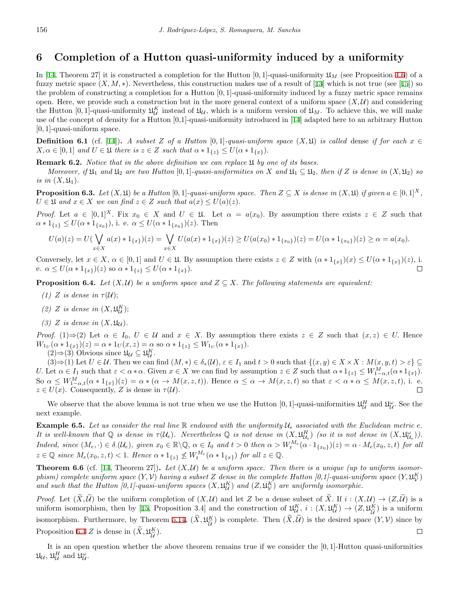# **6 Completion of a Hutton quasi-uniformity induced by a uniformity**

In [\[14](#page-15-21), Theorem 27] it is constructed a completion for the Hutton  $[0,1]$ -quasi-uniformity  $\mathfrak{U}_M$  (see Proposition [4.6](#page-7-1)) of a fuzzy metric space  $(X, M, *)$ . Nevertheless, this construction makes use of a result of [[13\]](#page-14-7) which is not true (see [\[15](#page-15-20)]) so the problem of constructing a completion for a Hutton [0*,* 1]-quasi-uniformity induced by a fuzzy metric space remains open. Here, we provide such a construction but in the more general context of a uniform space  $(X, U)$  and considering the Hutton [0, 1]-quasi-uniformity  $\mathfrak{U}_{\mathcal{U}}^K$  instead of  $\mathfrak{U}_{\mathcal{U}}$ , which is a uniform version of  $\mathfrak{U}_M$ . To achieve this, we will make use of the concept of density for a Hutton [0,1]-quasi-uniformity introduced in [\[14](#page-15-21)] adapted here to an arbitrary Hutton [0*,* 1]-quasi-uniform space.

**Definition 6.1** (cf. [[14\]](#page-15-21)). *A subset Z* of a Hutton [0,1]*-quasi-uniform space*  $(X, \mathfrak{U})$  *is called* dense *if for each*  $x \in \mathfrak{U}$  $X, \alpha \in [0,1]$  and  $U \in \mathfrak{U}$  there is  $z \in Z$  such that  $\alpha * 1_{\{z\}} \leq U(\alpha * 1_{\{x\}})$ .

**Remark 6.2.** *Notice that in the above definition we can replace* U *by one of its bases.*

*Moreover,* if  $\mathfrak{U}_1$  and  $\mathfrak{U}_2$  are two Hutton [0,1]*-quasi-uniformities on X* and  $\mathfrak{U}_1 \subseteq \mathfrak{U}_2$ , then if *Z* is dense in  $(X, \mathfrak{U}_2)$  so *is in*  $(X, \mathfrak{U}_1)$ *.* 

**Proposition 6.3.** Let  $(X, \mathfrak{U})$  be a Hutton [0, 1]-quasi-uniform space. Then  $Z \subseteq X$  is dense in  $(X, \mathfrak{U})$  if given  $a \in [0, 1]^X$ ,  $U \in \mathfrak{U}$  and  $x \in X$  *we can find*  $z \in Z$  *such that*  $a(x) \leq U(a)(z)$ *.* 

*Proof.* Let  $a \in [0,1]^X$ . Fix  $x_0 \in X$  and  $U \in \mathfrak{U}$ . Let  $\alpha = a(x_0)$ . By assumption there exists  $z \in Z$  such that  $a * 1_{\{z\}} \leq U(\alpha * 1_{\{x_0\}}),$  i. e.  $\alpha \leq U(\alpha * 1_{\{x_0\}})(z)$ . Then

$$
U(a)(z) = U(\bigvee_{x \in X} a(x) * 1_{\{x\}})(z) = \bigvee_{x \in X} U(a(x) * 1_{\{x\}})(z) \ge U(a(x_0) * 1_{\{x_0\}})(z) = U(\alpha * 1_{\{x_0\}})(z) \ge \alpha = a(x_0).
$$

Conversely, let  $x \in X$ ,  $\alpha \in [0,1]$  and  $U \in \mathfrak{U}$ . By assumption there exists  $z \in Z$  with  $(\alpha * 1_{\{x\}})(x) \leq U(\alpha * 1_{\{x\}})(z)$ , i. e.  $\alpha \leq U(\alpha * 1_{\{x\}})(z)$  so  $\alpha * 1_{\{z\}} \leq U(\alpha * 1_{\{x\}}).$ 

<span id="page-13-0"></span>**Proposition 6.4.** *Let*  $(X, \mathcal{U})$  *be a uniform space and*  $Z \subseteq X$ . The following statements are equivalent:

- *(1) Z is dense in*  $\tau(\mathcal{U})$ ;
- (2) *Z is dense in*  $(X, \mathfrak{U}_\mathcal{U}^K)$ ;
- (3) *Z is dense in*  $(X, \mathfrak{U}_U)$ *.*

*Proof.* (1) $\Rightarrow$ (2) Let  $\alpha \in I_0$ ,  $U \in \mathcal{U}$  and  $x \in X$ . By assumption there exists  $z \in Z$  such that  $(x, z) \in U$ . Hence  $W_{1_U}(\alpha * 1_{\{x\}})(z) = \alpha * 1_U(x, z) = \alpha$  so  $\alpha * 1_{\{z\}} \le W_{1_U}(\alpha * 1_{\{x\}}).$ 

 $(2)$  ⇒  $(3)$  Obvious since  $\mathfrak{U}_{\mathcal{U}} \subseteq \mathfrak{U}_{\mathcal{U}}^K$ .

 $(3) \Rightarrow (1)$  Let  $U \in \mathcal{U}$ . Then we can find  $(M,*) \in \delta_*(\mathcal{U}), \varepsilon \in I_1$  and  $t > 0$  such that  $\{(x,y) \in X \times X : M(x,y,t) > \varepsilon\} \subseteq$ U. Let  $\alpha \in I_1$  such that  $\varepsilon < \alpha * \alpha$ . Given  $x \in X$  we can find by assumption  $z \in Z$  such that  $\alpha * 1_{\{z\}} \leq W_{1-\alpha,t}^M(\alpha * 1_{\{x\}})$ . So  $\alpha \leq W_{1-\alpha,t}^M(\alpha * 1_{\{x\}})(z) = \alpha * (\alpha \to M(x,z,t)).$  Hence  $\alpha \leq \alpha \to M(x,z,t)$  so that  $\varepsilon < \alpha * \alpha \leq M(x,z,t)$ , i. e.  $z \in U(x)$ . Consequently, *Z* is dense in  $\tau(\mathcal{U})$ .

We observe that the above lemma is not true when we use the Hutton  $[0,1]$ -quasi-uniformities  $\mathfrak{U}_{\mathcal{U}}^H$  and  $\mathfrak{U}_{\mathcal{U}}^{\omega}$ . See the next example.

**Example 6.5.** Let us consider the real line  $\mathbb{R}$  endowed with the uniformity  $\mathcal{U}_e$  associated with the Euclidean metric  $e$ . It is well-known that Q is dense in  $\tau(\mathcal{U}_e)$ . Nevertheless Q is not dense in  $(X,\mathfrak{U}^H_{\mathcal{U}_e})$  (so it is not dense in  $(X,\mathfrak{U}^{\omega}_{\mathcal{U}_e})$ ). Indeed, since  $(M_e, \cdot) \in \delta(\mathcal{U}_e)$ , given  $x_0 \in \mathbb{R} \setminus \mathbb{Q}$ ,  $\alpha \in I_0$  and  $t > 0$  then  $\alpha > W_t^{M_e}(\alpha \cdot 1_{\{x_0\}})(z) = \alpha \cdot M_e(x_0, z, t)$  for all  $z \in \mathbb{Q}$  since  $M_e(x_0, z, t) < 1$ . Hence  $\alpha * 1_{\{z\}} \nleq W_t^{M_e}(\alpha * 1_{\{x\}})$  for all  $z \in \mathbb{Q}$ .

**Theorem 6.6** (cf. [[14,](#page-15-21) Theorem 27]). Let  $(X, \mathcal{U})$  be a uniform space. Then there is a unique (up to uniform isomor*phism)* complete uniform space  $(Y, V)$  having a subset  $Z$  dense in the complete Hutton [0,1]-quasi-uniform space  $(Y, \mathfrak{U}_V^K)$ and such that the Hutton [0,1]-quasi-uniform spaces  $(X, \mathfrak{U}_{\mathcal{U}}^K)$  and  $(Z, \mathfrak{U}_{\mathcal{V}}^K)$  are uniformly isomorphic.

*Proof.* Let  $(\widetilde{X}, \widetilde{\mathcal{U}})$  be the uniform completion of  $(X, \mathcal{U})$  and let *Z* be a dense subset of  $\widetilde{X}$ . If  $i : (X, \mathcal{U}) \to (Z, \widetilde{\mathcal{U}})$  is a uniform isomorphism, then by [\[15](#page-15-20), Proposition 3.4] and the construction of  $\mathfrak{U}_{\mathcal{U}}^K$ ,  $i:(X,\mathfrak{U}_{\mathcal{U}}^K) \to (Z,\mathfrak{U}_{\widetilde{\mathcal{U}}}^K)$  $\frac{K}{\tilde{\mathcal{U}}}$  is a uniform isomorphism. Furthermore, by Theorem [5.14](#page-11-0),  $(\tilde{X}, \mathfrak{U}_{\tilde{U}}^K)$  $\frac{K}{\tilde{u}}$ ) is complete. Then  $(X, \mathcal{U})$  is the desired space  $(Y, \mathcal{V})$  since by Proposition [6.4](#page-13-0) *Z* is dense in  $(\tilde{X}, \mathfrak{U}_{\tilde{\mathcal{U}}}^K)$  $\frac{K}{\tilde{U}}$ ).  $\Box$ 

It is an open question whether the above theorem remains true if we consider the [0*,* 1]-Hutton quasi-uniformities  $\mathfrak{U}_{\mathcal{U}}, \, \mathfrak{U}_{\mathcal{U}}^H \, \, \text{and} \, \, \mathfrak{U}_{\mathcal{U}}^{\omega}.$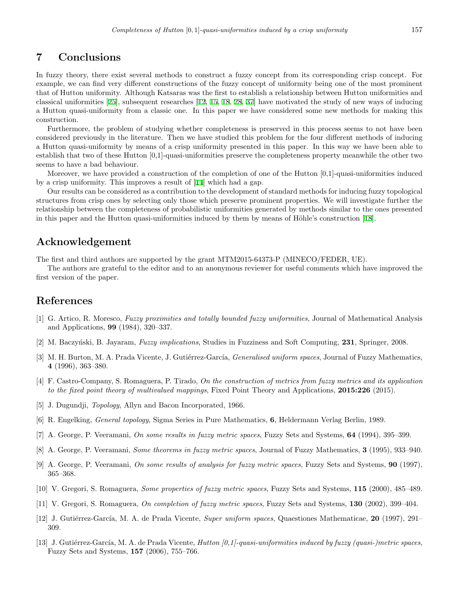### **7 Conclusions**

In fuzzy theory, there exist several methods to construct a fuzzy concept from its corresponding crisp concept. For example, we can find very different constructions of the fuzzy concept of uniformity being one of the most prominent that of Hutton uniformity. Although Katsaras was the first to establish a relationship between Hutton uniformities and classical uniformities [[25](#page-15-0)], subsequent researches [\[12](#page-14-3), [15](#page-15-20), [18](#page-15-11), [28](#page-15-4), [37\]](#page-15-18) have motivated the study of new ways of inducing a Hutton quasi-uniformity from a classic one. In this paper we have considered some new methods for making this construction.

Furthermore, the problem of studying whether completeness is preserved in this process seems to not have been considered previously in the literature. Then we have studied this problem for the four different methods of inducing a Hutton quasi-uniformity by means of a crisp uniformity presented in this paper. In this way we have been able to establish that two of these Hutton [0,1]-quasi-uniformities preserve the completeness property meanwhile the other two seems to have a bad behaviour.

Moreover, we have provided a construction of the completion of one of the Hutton [0,1]-quasi-uniformities induced by a crisp uniformity. This improves a result of [[14](#page-15-21)] which had a gap.

Our results can be considered as a contribution to the development of standard methods for inducing fuzzy topological structures from crisp ones by selecting only those which preserve prominent properties. We will investigate further the relationship between the completeness of probabilistic uniformities generated by methods similar to the ones presented in this paper and the Hutton quasi-uniformities induced by them by means of Höhle's construction [[18](#page-15-11)].

### **Acknowledgement**

The first and third authors are supported by the grant MTM2015-64373-P (MINECO/FEDER, UE).

The authors are grateful to the editor and to an anonymous reviewer for useful comments which have improved the first version of the paper.

# **References**

- <span id="page-14-0"></span>[1] G. Artico, R. Moresco, *Fuzzy proximities and totally bounded fuzzy uniformities*, Journal of Mathematical Analysis and Applications, **99** (1984), 320–337.
- <span id="page-14-8"></span>[2] M. Baczy´nski, B. Jayaram, *Fuzzy implications*, Studies in Fuzziness and Soft Computing, **231**, Springer, 2008.
- <span id="page-14-1"></span>[3] M. H. Burton, M. A. Prada Vicente, J. Gutiérrez-García, *Generalised uniform spaces*, Journal of Fuzzy Mathematics, **4** (1996), 363–380.
- <span id="page-14-6"></span>[4] F. Castro-Company, S. Romaguera, P. Tirado, *On the construction of metrics from fuzzy metrics and its application to the fixed point theory of multivalued mappings*, Fixed Point Theory and Applications, **2015:226** (2015).
- <span id="page-14-12"></span>[5] J. Dugundji, *Topology*, Allyn and Bacon Incorporated, 1966.
- <span id="page-14-11"></span>[6] R. Engelking, *General topology*, Sigma Series in Pure Mathematics, **6**, Heldermann Verlag Berlin, 1989.
- <span id="page-14-2"></span>[7] A. George, P. Veeramani, *On some results in fuzzy metric spaces*, Fuzzy Sets and Systems, **64** (1994), 395–399.
- <span id="page-14-10"></span>[8] A. George, P. Veeramani, *Some theorems in fuzzy metric spaces*, Journal of Fuzzy Mathematics, **3** (1995), 933–940.
- <span id="page-14-5"></span>[9] A. George, P. Veeramani, *On some results of analysis for fuzzy metric spaces*, Fuzzy Sets and Systems, **90** (1997), 365–368.
- <span id="page-14-9"></span>[10] V. Gregori, S. Romaguera, *Some properties of fuzzy metric spaces*, Fuzzy Sets and Systems, **115** (2000), 485–489.
- <span id="page-14-4"></span>[11] V. Gregori, S. Romaguera, *On completion of fuzzy metric spaces*, Fuzzy Sets and Systems, **130** (2002), 399–404.
- <span id="page-14-3"></span>[12] J. Guti´errez-Garc´ıa, M. A. de Prada Vicente, *Super uniform spaces*, Quaestiones Mathematicae, **20** (1997), 291– 309.
- <span id="page-14-7"></span>[13] J. Gutiérrez-García, M. A. de Prada Vicente, *Hutton [0,1]-quasi-uniformities induced by fuzzy (quasi-)metric spaces*, Fuzzy Sets and Systems, **157** (2006), 755–766.